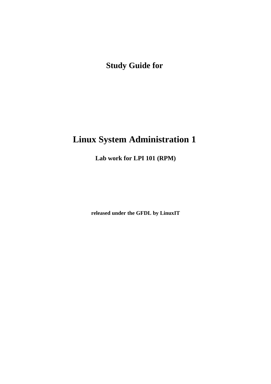**Study Guide for**

# **Linux System Administration 1**

**Lab work for LPI 101 (RPM)**

**released under the GFDL by LinuxIT**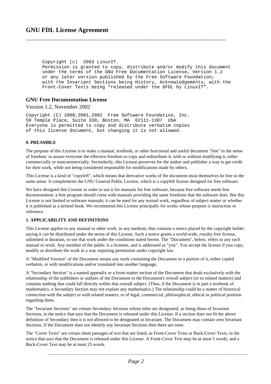Copyright (c) 2003 LinuxIT. Permission is granted to copy, distribute and/or modify this document under the terms of the GNU Free Documentation License, Version 1.2 or any later version published by the Free Software Foundation; with the Invariant Sections being History, Acknowledgements, with the Front-Cover Texts being "released under the GFDL by LinuxIT".

\_\_\_\_\_\_\_\_\_\_\_\_\_\_\_\_\_\_\_\_\_\_\_\_\_\_\_\_\_\_\_\_\_\_\_\_\_\_\_\_\_\_\_\_\_\_\_\_\_\_\_\_\_\_\_\_\_\_\_\_\_\_\_\_\_\_\_\_\_\_\_\_

#### **GNU Free Documentation License**

Version 1.2, November 2002

Copyright (C) 2000,2001,2002 Free Software Foundation, Inc. 59 Temple Place, Suite 330, Boston, MA 02111-1307 USA Everyone is permitted to copy and distribute verbatim copies of this license document, but changing it is not allowed.

#### **0. PREAMBLE**

The purpose of this License is to make a manual, textbook, or other functional and useful document "free" in the sense of freedom: to assure everyone the effective freedom to copy and redistribute it, with or without modifying it, either commercially or noncommercially. Secondarily, this License preserves for the author and publisher a way to get credit for their work, while not being considered responsible for modifications made by others.

This License is a kind of "copyleft", which means that derivative works of the document must themselves be free in the same sense. It complements the GNU General Public License, which is a copyleft license designed for free software.

We have designed this License in order to use it for manuals for free software, because free software needs free documentation: a free program should come with manuals providing the same freedoms that the software does. But this License is not limited to software manuals; it can be used for any textual work, regardless of subject matter or whether it is published as a printed book. We recommend this License principally for works whose purpose is instruction or reference.

#### **1. APPLICABILITY AND DEFINITIONS**

This License applies to any manual or other work, in any medium, that contains a notice placed by the copyright holder saying it can be distributed under the terms of this License. Such a notice grants a world-wide, royalty-free license, unlimited in duration, to use that work under the conditions stated herein. The "Document", below, refers to any such manual or work. Any member of the public is a licensee, and is addressed as "you". You accept the license if you copy, modify or distribute the work in a way requiring permission under copyright law.

A "Modified Version" of the Document means any work containing the Document or a portion of it, either copied verbatim, or with modifications and/or translated into another language.

A "Secondary Section" is a named appendix or a front-matter section of the Document that deals exclusively with the relationship of the publishers or authors of the Document to the Document's overall subject (or to related matters) and contains nothing that could fall directly within that overall subject. (Thus, if the Document is in part a textbook of mathematics, a Secondary Section may not explain any mathematics.) The relationship could be a matter of historical connection with the subject or with related matters, or of legal, commercial, philosophical, ethical or political position regarding them.

The "Invariant Sections" are certain Secondary Sections whose titles are designated, as being those of Invariant Sections, in the notice that says that the Document is released under this License. If a section does not fit the above definition of Secondary then it is not allowed to be designated as Invariant. The Document may contain zero Invariant Sections. If the Document does not identify any Invariant Sections then there are none.

The "Cover Texts" are certain short passages of text that are listed, as Front-Cover Texts or Back-Cover Texts, in the notice that says that the Document is released under this License. A Front-Cover Text may be at most 5 words, and a Back-Cover Text may be at most 25 words.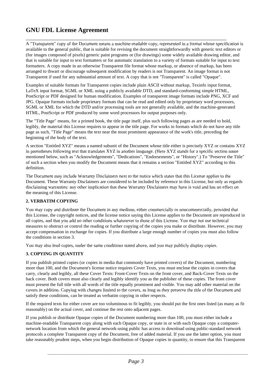\_\_\_\_\_\_\_\_\_\_\_\_\_\_\_\_\_\_\_\_\_\_\_\_\_\_\_\_\_\_\_\_\_\_\_\_\_\_\_\_\_\_\_\_\_\_\_\_\_\_\_\_\_\_\_\_\_\_\_\_\_\_\_\_\_\_\_\_\_\_\_\_ A "Transparent" copy of the Document means a machine-readable copy, represented in a format whose specification is available to the general public, that is suitable for revising the document straightforwardly with generic text editors or (for images composed of pixels) generic paint programs or (for drawings) some widely available drawing editor, and that is suitable for input to text formatters or for automatic translation to a variety of formats suitable for input to text formatters. A copy made in an otherwise Transparent file format whose markup, or absence of markup, has been arranged to thwart or discourage subsequent modification by readers is not Transparent. An image format is not Transparent if used for any substantial amount of text. A copy that is not "Transparent" is called "Opaque".

Examples of suitable formats for Transparent copies include plain ASCII without markup, Texinfo input format, LaTeX input format, SGML or XML using a publicly available DTD, and standard-conforming simple HTML, PostScript or PDF designed for human modification. Examples of transparent image formats include PNG, XCF and JPG. Opaque formats include proprietary formats that can be read and edited only by proprietary word processors, SGML or XML for which the DTD and/or processing tools are not generally available, and the machine-generated HTML, PostScript or PDF produced by some word processors for output purposes only.

The "Title Page" means, for a printed book, the title page itself, plus such following pages as are needed to hold, legibly, the material this License requires to appear in the title page. For works in formats which do not have any title page as such, "Title Page" means the text near the most prominent appearance of the work's title, preceding the beginning of the body of the text.

A section "Entitled XYZ" means a named subunit of the Document whose title either is precisely XYZ or contains XYZ in parentheses following text that translates XYZ in another language. (Here XYZ stands for a specific section name mentioned below, such as "Acknowledgements", "Dedications", "Endorsements", or "History".) To "Preserve the Title" of such a section when you modify the Document means that it remains a section "Entitled XYZ" according to this definition.

The Document may include Warranty Disclaimers next to the notice which states that this License applies to the Document. These Warranty Disclaimers are considered to be included by reference in this License, but only as regards disclaiming warranties: any other implication that these Warranty Disclaimers may have is void and has no effect on the meaning of this License.

#### **2. VERBATIM COPYING**

You may copy and distribute the Document in any medium, either commercially or noncommercially, provided that this License, the copyright notices, and the license notice saying this License applies to the Document are reproduced in all copies, and that you add no other conditions whatsoever to those of this License. You may not use technical measures to obstruct or control the reading or further copying of the copies you make or distribute. However, you may accept compensation in exchange for copies. If you distribute a large enough number of copies you must also follow the conditions in section 3.

You may also lend copies, under the same conditions stated above, and you may publicly display copies.

#### **3. COPYING IN QUANTITY**

If you publish printed copies (or copies in media that commonly have printed covers) of the Document, numbering more than 100, and the Document's license notice requires Cover Texts, you must enclose the copies in covers that carry, clearly and legibly, all these Cover Texts: Front-Cover Texts on the front cover, and Back-Cover Texts on the back cover. Both covers must also clearly and legibly identify you as the publisher of these copies. The front cover must present the full title with all words of the title equally prominent and visible. You may add other material on the covers in addition. Copying with changes limited to the covers, as long as they preserve the title of the Document and satisfy these conditions, can be treated as verbatim copying in other respects.

If the required texts for either cover are too voluminous to fit legibly, you should put the first ones listed (as many as fit reasonably) on the actual cover, and continue the rest onto adjacent pages.

If you publish or distribute Opaque copies of the Document numbering more than 100, you must either include a machine-readable Transparent copy along with each Opaque copy, or state in or with each Opaque copy a computernetwork location from which the general network-using public has access to download using public-standard network protocols a complete Transparent copy of the Document, free of added material. If you use the latter option, you must take reasonably prudent steps, when you begin distribution of Opaque copies in quantity, to ensure that this Transparent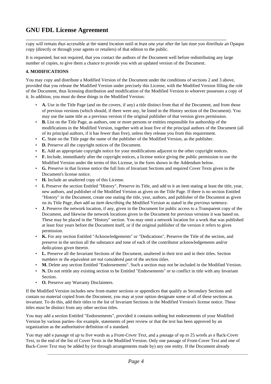copy will remain thus accessible at the stated location until at least one year after the last time you distribute an Opaque copy (directly or through your agents or retailers) of that edition to the public.

It is requested, but not required, that you contact the authors of the Document well before redistributing any large number of copies, to give them a chance to provide you with an updated version of the Document.

\_\_\_\_\_\_\_\_\_\_\_\_\_\_\_\_\_\_\_\_\_\_\_\_\_\_\_\_\_\_\_\_\_\_\_\_\_\_\_\_\_\_\_\_\_\_\_\_\_\_\_\_\_\_\_\_\_\_\_\_\_\_\_\_\_\_\_\_\_\_\_\_

#### **4. MODIFICATIONS**

You may copy and distribute a Modified Version of the Document under the conditions of sections 2 and 3 above, provided that you release the Modified Version under precisely this License, with the Modified Version filling the role of the Document, thus licensing distribution and modification of the Modified Version to whoever possesses a copy of it. In addition, you must do these things in the Modified Version:

- **A.** Use in the Title Page (and on the covers, if any) a title distinct from that of the Document, and from those of previous versions (which should, if there were any, be listed in the History section of the Document). You may use the same title as a previous version if the original publisher of that version gives permission.
- **B.** List on the Title Page, as authors, one or more persons or entities responsible for authorship of the modifications in the Modified Version, together with at least five of the principal authors of the Document (all of its principal authors, if it has fewer than five), unless they release you from this requirement.
- **C.** State on the Title page the name of the publisher of the Modified Version, as the publisher.
- **D.** Preserve all the copyright notices of the Document.
- **E.** Add an appropriate copyright notice for your modifications adjacent to the other copyright notices.
- **F.** Include, immediately after the copyright notices, a license notice giving the public permission to use the Modified Version under the terms of this License, in the form shown in the Addendum below.
- **G.** Preserve in that license notice the full lists of Invariant Sections and required Cover Texts given in the Document's license notice.
- **H.** Include an unaltered copy of this License.
- **I.** Preserve the section Entitled "History", Preserve its Title, and add to it an item stating at least the title, year, new authors, and publisher of the Modified Version as given on the Title Page. If there is no section Entitled "History" in the Document, create one stating the title, year, authors, and publisher of the Document as given on its Title Page, then add an item describing the Modified Version as stated in the previous sentence.
- **J.** Preserve the network location, if any, given in the Document for public access to a Transparent copy of the Document, and likewise the network locations given in the Document for previous versions it was based on. These may be placed in the "History" section. You may omit a network location for a work that was published at least four years before the Document itself, or if the original publisher of the version it refers to gives permission.
- **K.** For any section Entitled "Acknowledgements" or "Dedications", Preserve the Title of the section, and preserve in the section all the substance and tone of each of the contributor acknowledgements and/or dedications given therein.
- **L.** Preserve all the Invariant Sections of the Document, unaltered in their text and in their titles. Section numbers or the equivalent are not considered part of the section titles.
- **M.** Delete any section Entitled "Endorsements". Such a section may not be included in the Modified Version.
- **N.** Do not retitle any existing section to be Entitled "Endorsements" or to conflict in title with any Invariant Section.
- **O.** Preserve any Warranty Disclaimers.

If the Modified Version includes new front-matter sections or appendices that qualify as Secondary Sections and contain no material copied from the Document, you may at your option designate some or all of these sections as invariant. To do this, add their titles to the list of Invariant Sections in the Modified Version's license notice. These titles must be distinct from any other section titles.

You may add a section Entitled "Endorsements", provided it contains nothing but endorsements of your Modified Version by various parties--for example, statements of peer review or that the text has been approved by an organization as the authoritative definition of a standard.

You may add a passage of up to five words as a Front-Cover Text, and a passage of up to 25 words as a Back-Cover Text, to the end of the list of Cover Texts in the Modified Version. Only one passage of Front-Cover Text and one of Back-Cover Text may be added by (or through arrangements made by) any one entity. If the Document already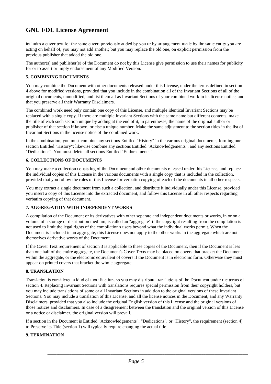includes a cover text for the same cover, previously added by you or by arrangement made by the same entity you are acting on behalf of, you may not add another; but you may replace the old one, on explicit permission from the previous publisher that added the old one.

\_\_\_\_\_\_\_\_\_\_\_\_\_\_\_\_\_\_\_\_\_\_\_\_\_\_\_\_\_\_\_\_\_\_\_\_\_\_\_\_\_\_\_\_\_\_\_\_\_\_\_\_\_\_\_\_\_\_\_\_\_\_\_\_\_\_\_\_\_\_\_\_

The author(s) and publisher(s) of the Document do not by this License give permission to use their names for publicity for or to assert or imply endorsement of any Modified Version.

#### **5. COMBINING DOCUMENTS**

You may combine the Document with other documents released under this License, under the terms defined in section 4 above for modified versions, provided that you include in the combination all of the Invariant Sections of all of the original documents, unmodified, and list them all as Invariant Sections of your combined work in its license notice, and that you preserve all their Warranty Disclaimers.

The combined work need only contain one copy of this License, and multiple identical Invariant Sections may be replaced with a single copy. If there are multiple Invariant Sections with the same name but different contents, make the title of each such section unique by adding at the end of it, in parentheses, the name of the original author or publisher of that section if known, or else a unique number. Make the same adjustment to the section titles in the list of Invariant Sections in the license notice of the combined work.

In the combination, you must combine any sections Entitled "History" in the various original documents, forming one section Entitled "History"; likewise combine any sections Entitled "Acknowledgements", and any sections Entitled "Dedications". You must delete all sections Entitled "Endorsements."

#### **6. COLLECTIONS OF DOCUMENTS**

You may make a collection consisting of the Document and other documents released under this License, and replace the individual copies of this License in the various documents with a single copy that is included in the collection, provided that you follow the rules of this License for verbatim copying of each of the documents in all other respects.

You may extract a single document from such a collection, and distribute it individually under this License, provided you insert a copy of this License into the extracted document, and follow this License in all other respects regarding verbatim copying of that document.

#### **7. AGGREGATION WITH INDEPENDENT WORKS**

A compilation of the Document or its derivatives with other separate and independent documents or works, in or on a volume of a storage or distribution medium, is called an "aggregate" if the copyright resulting from the compilation is not used to limit the legal rights of the compilation's users beyond what the individual works permit. When the Document is included in an aggregate, this License does not apply to the other works in the aggregate which are not themselves derivative works of the Document.

If the Cover Text requirement of section 3 is applicable to these copies of the Document, then if the Document is less than one half of the entire aggregate, the Document's Cover Texts may be placed on covers that bracket the Document within the aggregate, or the electronic equivalent of covers if the Document is in electronic form. Otherwise they must appear on printed covers that bracket the whole aggregate.

#### **8. TRANSLATION**

Translation is considered a kind of modification, so you may distribute translations of the Document under the terms of section 4. Replacing Invariant Sections with translations requires special permission from their copyright holders, but you may include translations of some or all Invariant Sections in addition to the original versions of these Invariant Sections. You may include a translation of this License, and all the license notices in the Document, and any Warranty Disclaimers, provided that you also include the original English version of this License and the original versions of those notices and disclaimers. In case of a disagreement between the translation and the original version of this License or a notice or disclaimer, the original version will prevail.

If a section in the Document is Entitled "Acknowledgements", "Dedications", or "History", the requirement (section 4) to Preserve its Title (section 1) will typically require changing the actual title.

#### **9. TERMINATION**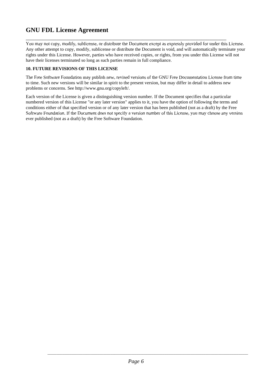\_\_\_\_\_\_\_\_\_\_\_\_\_\_\_\_\_\_\_\_\_\_\_\_\_\_\_\_\_\_\_\_\_\_\_\_\_\_\_\_\_\_\_\_\_\_\_\_\_\_\_\_\_\_\_\_\_\_\_\_\_\_\_\_\_\_\_\_\_\_\_\_ You may not copy, modify, sublicense, or distribute the Document except as expressly provided for under this License. Any other attempt to copy, modify, sublicense or distribute the Document is void, and will automatically terminate your rights under this License. However, parties who have received copies, or rights, from you under this License will not have their licenses terminated so long as such parties remain in full compliance.

#### **10. FUTURE REVISIONS OF THIS LICENSE**

The Free Software Foundation may publish new, revised versions of the GNU Free Documentation License from time to time. Such new versions will be similar in spirit to the present version, but may differ in detail to address new problems or concerns. See http://www.gnu.org/copyleft/.

Each version of the License is given a distinguishing version number. If the Document specifies that a particular numbered version of this License "or any later version" applies to it, you have the option of following the terms and conditions either of that specified version or of any later version that has been published (not as a draft) by the Free Software Foundation. If the Document does not specify a version number of this License, you may choose any version ever published (not as a draft) by the Free Software Foundation.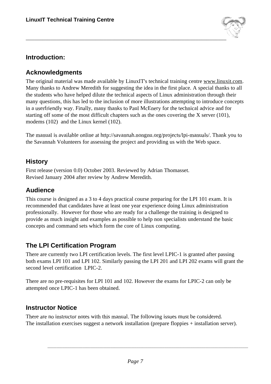

# **Introduction:**

## **Acknowledgments**

The original material was made available by LinuxIT's technical training centre www.linuxit.com. Many thanks to Andrew Meredith for suggesting the idea in the first place. A special thanks to all the students who have helped dilute the technical aspects of Linux administration through their many questions, this has led to the inclusion of more illustrations attempting to introduce concepts in a userfriendly way. Finally, many thanks to Paul McEnery for the technical advice and for starting off some of the most difficult chapters such as the ones covering the X server (101), modems (102) and the Linux kernel (102).

The manual is available online at http://savannah.nongnu.org/projects/lpi-manuals/. Thank you to the Savannah Volunteers for assessing the project and providing us with the Web space.

## **History**

First release (version 0.0) October 2003. Reviewed by Adrian Thomasset. Revised January 2004 after review by Andrew Meredith.

# **Audience**

This course is designed as a 3 to 4 days practical course preparing for the LPI 101 exam. It is recommended that candidates have at least one year experience doing Linux administration professionally. However for those who are ready for a challenge the training is designed to provide as much insight and examples as possible to help non specialists understand the basic concepts and command sets which form the core of Linux computing.

# **The LPI Certification Program**

There are currently two LPI certification levels. The first level LPIC-1 is granted after passing both exams LPI 101 and LPI 102. Similarly passing the LPI 201 and LPI 202 exams will grant the second level certification LPIC-2.

There are no pre-requisites for LPI 101 and 102. However the exams for LPIC-2 can only be attempted once LPIC-1 has been obtained.

# **Instructor Notice**

There are no instructor notes with this manual. The following issues must be considered. The installation exercises suggest a network installation (prepare floppies + installation server).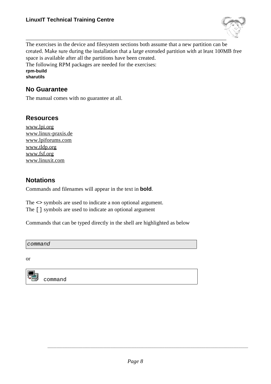

\_\_\_\_\_\_\_\_\_\_\_\_\_\_\_\_\_\_\_\_\_\_\_\_\_\_\_\_\_\_\_\_\_\_\_\_\_\_\_\_\_\_\_\_\_\_\_\_\_\_\_\_\_\_\_\_\_\_\_\_\_\_\_\_\_\_\_\_\_\_\_\_ The exercises in the device and filesystem sections both assume that a new partition can be created. Make sure during the installation that a large extended partition with at least 100MB free space is available after all the partitions have been created. The following RPM packages are needed for the exercises:

**rpm-build**

**sharutils**

### **No Guarantee**

The manual comes with no guarantee at all.

### **Resources**

www.lpi.org www.linux-praxis.de www.lpiforums.com www.tldp.org www.fsf.org www.linuxit.com

### **Notations**

Commands and filenames will appear in the text in **bold**.

The <> symbols are used to indicate a non optional argument. The [] symbols are used to indicate an optional argument

Commands that can be typed directly in the shell are highlighted as below

command

or



command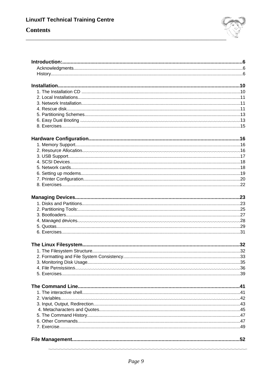# **Contents**

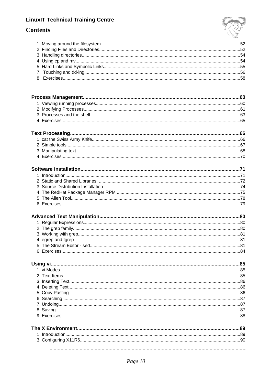# **Contents**

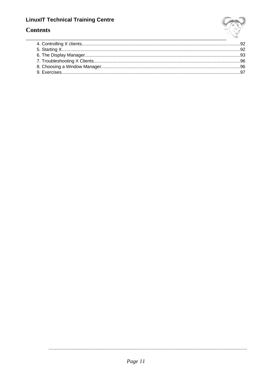

# **Contents**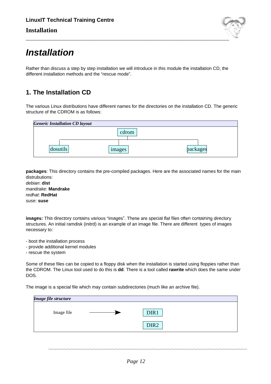

# **Installation**

Rather than discuss a step by step installation we will introduce in this module the installation CD, the different installation methods and the "rescue mode".

# **1. The Installation CD**

The various Linux distributions have different names for the directories on the installation CD. The generic structure of the CDROM is as follows:

| <b>Generic Installation CD layout</b> |        |          |
|---------------------------------------|--------|----------|
|                                       | cdrom  |          |
| dosutils                              | images | packages |

**packages**: This directory contains the pre-compiled packages. Here are the associated names for the main distrubutions:

debian: **dist** mandrake: **Mandrake** redhat: **RedHat** suse: **suse**

**images:** This directory contains various "images". These are special flat files often containing directory structures. An initial ramdisk (initrd) is an example of an image file. There are different types of images necessary to:

- boot the installation process
- provide additional kernel modules
- rescue the system

Some of these files can be copied to a floppy disk when the installation is started using floppies rather than the CDROM. The Linux tool used to do this is **dd**. There is a tool called **rawrite** which does the same under DOS.

The image is a special file which may contain subdirectories (much like an archive file).

| Image file structure |                  |  |
|----------------------|------------------|--|
| Image file           | DIR1             |  |
|                      | DIR <sub>2</sub> |  |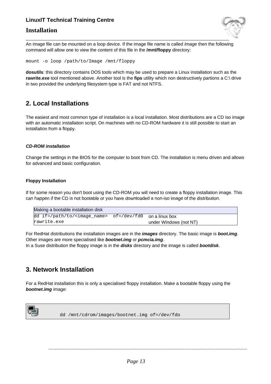### **Installation**



An image file can be mounted on a loop device. If the image file name is called *Image* then the following command will allow one to view the content of this file in the **/mnt/floppy** directory:

mount -o loop /path/to/Image /mnt/floppy

**dosutils**: this directory contains DOS tools which may be used to prepare a Linux installation such as the **rawrite.exe** tool mentioned above. Another tool is the **fips** utility which non destructively partions a C:\ drive in two provided the underlying filesystem type is FAT and not NTFS.

### **2. Local Installations**

The easiest and most common type of installation is a local installation. Most distributions are a CD iso image with an automatic installation script. On machines with no CD-ROM hardware it is still possible to start an installation from a floppy.

#### **CD-ROM installation**

Change the settings in the BIOS for the computer to boot from CD. The installation is menu driven and allows for advanced and basic configuration.

#### **Floppy Installation**

If for some reason you don't boot using the CD-ROM you will need to create a floppy installation image. This can happen if the CD is not bootable or you have downloaded a non-iso image of the distribution.

| Making a bootable installation disk                                 |                        |
|---------------------------------------------------------------------|------------------------|
| dd if=/path/to/ <image_name> of=/dev/fd0 on alinux box</image_name> |                        |
| rawrite.exe                                                         | under Windows (not NT) |

For RedHat distributions the installation images are in the **images** directory. The basic image is **boot.img**. Other images are more specialised like **bootnet.img** or **pcmcia.img**.

In a Suse distribution the floppy image is in the **disks** directory and the image is called **bootdisk**.

### **3. Network Installation**

For a RedHat installation this is only a specialised floppy installation. Make a bootable floppy using the **bootnet.img** image:



dd /mnt/cdrom/images/bootnet.img of=/dev/fdo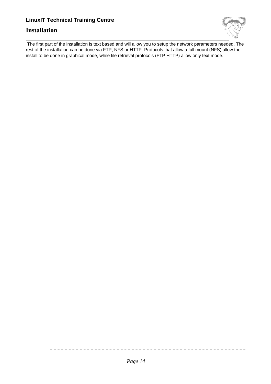### **Installation**



\_\_\_\_\_\_\_\_\_\_\_\_\_\_\_\_\_\_\_\_\_\_\_\_\_\_\_\_\_\_\_\_\_\_\_\_\_\_\_\_\_\_\_\_\_\_\_\_\_\_\_\_\_\_\_\_\_\_\_\_\_\_\_\_\_\_\_\_\_\_\_\_\_ The first part of the installation is text based and will allow you to setup the network parameters needed. The rest of the installation can be done via FTP, NFS or HTTP. Protocols that allow a full mount (NFS) allow the install to be done in graphical mode, while file retrieval protocols (FTP HTTP) allow only text mode.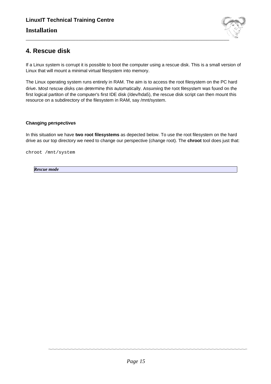

# **4. Rescue disk**

If a Linux system is corrupt it is possible to boot the computer using a rescue disk. This is a small version of Linux that will mount a minimal virtual filesystem into memory.

The Linux operating system runs entirely in RAM. The aim is to access the root filesystem on the PC hard drive. Most rescue disks can determine this automatically. Assuming the root filesystem was found on the first logical partiton of the computer's first IDE disk (/dev/hda5), the rescue disk script can then mount this resource on a subdirectory of the filesystem in RAM, say /mnt/system.

#### **Changing perspectives**

In this situation we have **two root filesystems** as depected below. To use the root filesystem on the hard drive as our top directory we need to change our perspective (change root). The **chroot** tool does just that:

chroot /mnt/system

*Rescue mode*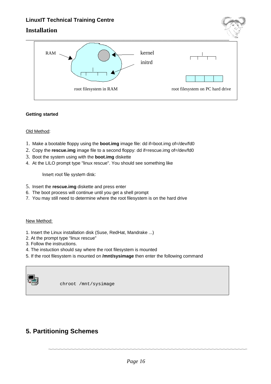### **Installation**



#### **Getting started**

#### Old Method:

- 1. Make a bootable floppy using the **boot.img** image file: dd if=boot.img of=/dev/fd0
- 2. Copy the **rescue.img** image file to a second floppy: dd if=rescue.img of=/dev/fd0
- 3. Boot the system using with the **boot.img** diskette
- 4. At the LILO prompt type "linux rescue". You should see something like

Insert root file system disk:

- 5. Insert the **rescue.img** diskette and press enter
- 6. The boot process will continue until you get a shell prompt
- 7. You may still need to determine where the root filesystem is on the hard drive

#### New Method:

- 1. Insert the Linux installation disk (Suse, RedHat, Mandrake ...)
- 2. At the prompt type "linux rescue"
- 3. Follow the instructions.
- 4. The instuction should say where the root filesystem is mounted
- 5. If the root filesystem is mounted on **/mnt/sysimage** then enter the following command



chroot /mnt/sysimage

# **5. Partitioning Schemes**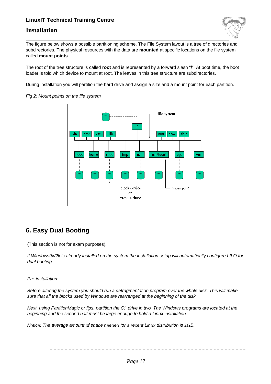### **Installation**



The figure below shows a possible partitioning scheme. The File System layout is a tree of directories and subdirectories. The physical resources with the data are **mounted** at specific locations on the file system called **mount points**.

The root of the tree structure is called **root** and is represented by a forward slash "**/**". At boot time, the boot loader is told which device to mount at root. The leaves in this tree structure are subdirectories.

During installation you will partition the hard drive and assign a size and a mount point for each partition.



Fig 2: Mount points on the file system

# **6. Easy Dual Booting**

(This section is not for exam purposes).

If Windows9x/2k is already installed on the system the installation setup will automatically configure LILO for dual booting.

#### Pre-installation:

Before altering the system you should run a defragmentation program over the whole disk. This will make sure that all the blocks used by Windows are rearranged at the beginning of the disk.

Next, using PartitionMagic or fips, partition the C:\ drive in two. The Windows programs are located at the beginning and the second half must be large enough to hold a Linux installation.

Notice: The average amount of space needed for a recent Linux distribution is 1GB.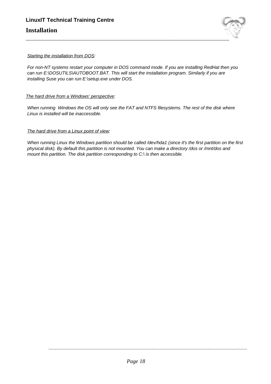

#### Starting the installation from DOS:

For non-NT systems restart your computer in DOS command mode. If you are installing RedHat then you can run E:\DOSUTILS\AUTOBOOT.BAT. This will start the installation program. Similarly if you are installing Suse you can run E:\setup.exe under DOS.

#### The hard drive from a Windows' perspective:

When running Windows the OS will only see the FAT and NTFS filesystems. The rest of the disk where Linux is installed will be inaccessible.

#### The hard drive from a Linux point of view:

When running Linux the Windows partition should be called /dev/hda1 (since it's the first partition on the first physical disk). By default this partition is not mounted. You can make a directory /dos or /mnt/dos and mount this partition. The disk partition corresponding to C:\ is then accessible.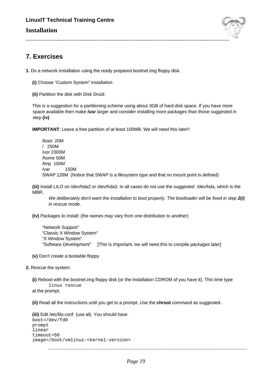

# **7. Exercises**

**1.** Do a network installation using the ready prepared bootnet.img floppy disk.

- **(i)** Choose "Custom System" installation
- **(ii)** Partition the disk with Disk Druid:

This is a suggestion for a partitioning scheme using about 3GB of hard disk space. If you have more space available then make **/usr** larger and consider installing more packages than those suggested in step **(iv)**

**IMPORTANT:** Leave a free partition of at least 100MB. We will need this later!!

/boot 20M / 250M /usr 2300M /home 50M /tmp 100M /var 150M SWAP 128M (Notice that SWAP is a filesystem type and that no mount point is defined)

**(iii)** Install LILO on /dev/hda2 or /dev/hda3. In all cases do not use the suggested /dev/hda, which is the MBR.

We deliberately don't want the installation to boot properly. The bootloader will be fixed in step **2(i)** in rescue mode.

**(iv)** Packages to install: (the names may vary from one distribution to another)

"Network Support" "Classic X Window System" "X Window System" "Software Development" [This is important, we will need this to compile packages later]

- **(v)** Don't create a bootable floppy
- **2.** Rescue the system:
	- **(i)** Reboot with the bootnet.img floppy disk (or the installation CDROM of you have it). This time type linux rescue at the prompt.
	-

**(ii)** Read all the instructions until you get to a prompt. Use the **chroot** command as suggested.

**(iii)** Edit /etc/lilo.conf (use **vi**). You should have boot=/dev/fd0 prompt linear timeout=50 image=/boot/vmlinuz-<kernel-version>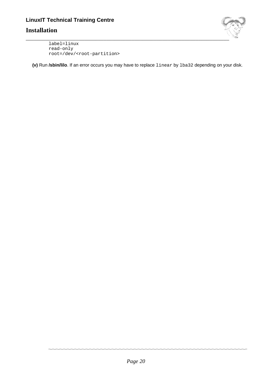### **Installation**



label=linux read-only root=/dev/<root-partition>

**(v)** Run **/sbin/lilo**. If an error occurs you may have to replace linear by lba32 depending on your disk.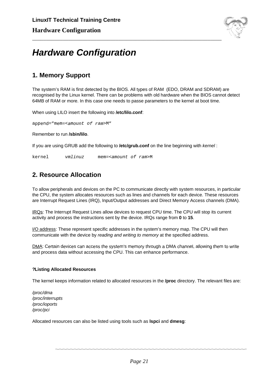

# **Hardware Configuration**

# **1. Memory Support**

The system's RAM is first detected by the BIOS. All types of RAM (EDO, DRAM and SDRAM) are recognised by the Linux kernel. There can be problems with old hardware when the BIOS cannot detect 64MB of RAM or more. In this case one needs to passe parameters to the kernel at boot time.

\_\_\_\_\_\_\_\_\_\_\_\_\_\_\_\_\_\_\_\_\_\_\_\_\_\_\_\_\_\_\_\_\_\_\_\_\_\_\_\_\_\_\_\_\_\_\_\_\_\_\_\_\_\_\_\_\_\_\_\_\_\_\_\_\_\_\_\_

When using LILO insert the following into **/etc/lilo.conf**:

append="mem=<amount of ram>M"

Remember to run **/sbin/lilo**.

If you are using GRUB add the following to **/etc/grub.conf** on the line beginning with kernel :

kernel vmlinuz mem=<amount of ram>M

# **2. Resource Allocation**

To allow peripherals and devices on the PC to communicate directly with system resources, in particular the CPU, the system allocates resources such as lines and channels for each device. These resources are Interrupt Request Lines (IRQ), Input/Output addresses and Direct Memory Access channels (DMA).

IRQs: The Interrupt Request Lines allow devices to request CPU time. The CPU will stop its current activity and process the instructions sent by the device. IRQs range from **0** to **15**.

I/O address: These represent specific addresses in the system's memory map. The CPU will then communicate with the device by reading and writing to memory at the specified address.

DMA: Certain devices can access the system's memory through a DMA channel, allowing them to write and process data without accessing the CPU. This can enhance performance.

#### **?Listing Allocated Resources**

The kernel keeps information related to allocated resources in the **/proc** directory. The relevant files are:

/proc/dma /proc/interrupts /proc/ioports /proc/pci

Allocated resources can also be listed using tools such as **lspci** and **dmesg**: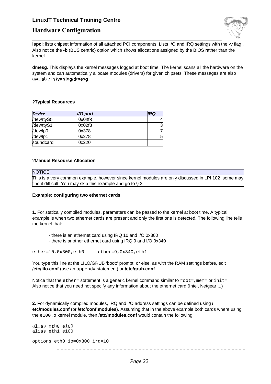

### **Hardware Configuration**

**lspci**: lists chipset information of all attached PCI components. Lists I/O and IRQ settings with the **-v** flag . Also notice the **-b** (BUS centric) option which shows allocations assigned by the BIOS rather than the kernel.

**dmesg**. This displays the kernel messages logged at boot time. The kernel scans all the hardware on the system and can automatically allocate modules (drivers) for given chipsets. These messages are also available in **/var/log/dmesg**.

#### ?**Typical Resources**

| <b>Device</b> | I/O port | <b>IRQ</b> |
|---------------|----------|------------|
| /dev/ttyS0    | 0x03f8   | 4          |
| /dev/ttyS1    | 0x02f8   | 3          |
| /dev/lp0      | 0x378    | 7          |
| /dev/lp1      | 0x278    | 5          |
| soundcard     | 0x220    |            |

#### ?M**anual Resourse Allocation**

#### NOTICE:

This is a very common example, however since kernel modules are only discussed in LPI 102 some may find it difficult. You may skip this example and go to § 3

#### **Example: configuring two ethernet cards**

**1.** For statically compiled modules, parameters can be passed to the kernel at boot time. A typical example is when two ethernet cards are present and only the first one is detected. The following line tells the kernel that:

- there is an ethernet card using IRQ 10 and I/O 0x300
- there is another ethernet card using IRQ 9 and I/O 0x340

ether=10,0x300,eth0 ether=9,0x340,eth1

You type this line at the LILO/GRUB 'boot:' prompt, or else, as with the RAM settings before, edit **/etc/lilo.conf** (use an append= statement) or **/etc/grub.conf**.

Notice that the  $ether=$  statement is a generic kernel command similar to  $root=$ , mem= or init=. Also notice that you need not specify any information about the ethernet card (Intel, Netgear ...)

**2.** For dynamically compiled modules, IRQ and I/O address settings can be defined using **/ etc/modules.conf** (or **/etc/conf.modules**). Assuming that in the above example both cards where using the e100.o kernel module, then **/etc/modules.conf** would contain the following:

```
alias eth0 e100
alias eth1 e100
options eth0 io=0x300 irq=10
```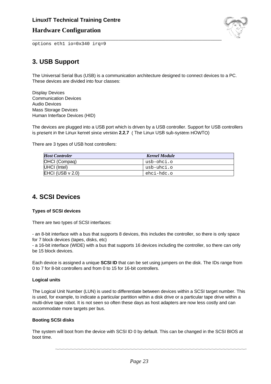### **Hardware Configuration**



options eth1 io=0x340 irq=9

# **3. USB Support**

The Universal Serial Bus (USB) is a communication architecture designed to connect devices to a PC. These devices are divided into four classes:

\_\_\_\_\_\_\_\_\_\_\_\_\_\_\_\_\_\_\_\_\_\_\_\_\_\_\_\_\_\_\_\_\_\_\_\_\_\_\_\_\_\_\_\_\_\_\_\_\_\_\_\_\_\_\_\_\_\_\_\_\_\_\_\_\_\_\_\_

Display Devices Communication Devices Audio Devices Mass Storage Devices Human Interface Devices (HID)

The devices are plugged into a USB port which is driven by a USB controller. Support for USB controllers is present in the Linux kernel since version **2.2.7** ( The Linux USB sub-system HOWTO)

There are 3 types of USB host controllers:

| <b>Host Controler</b> | <b>Kernel Module</b> |
|-----------------------|----------------------|
| OHCI (Compaq)         | usb-ohci.o           |
| UHCI (Intel)          | usb-uhci.o           |
| EHCI (USB $v$ 2.0)    | ehci-hdc.o           |

### **4. SCSI Devices**

#### **Types of SCSI devices**

There are two types of SCSI interfaces:

- an 8-bit interface with a bus that supports 8 devices, this includes the controller, so there is only space for 7 block devices (tapes, disks, etc)

- a 16-bit interface (WIDE) with a bus that supports 16 devices including the controller, so there can only be 15 block devices.

Each device is assigned a unique **SCSI ID** that can be set using jumpers on the disk. The IDs range from 0 to 7 for 8-bit controllers and from 0 to 15 for 16-bit controllers.

#### **Logical units**

The Logical Unit Number (LUN) is used to differentiate between devices within a SCSI target number. This is used, for example, to indicate a particular partition within a disk drive or a particular tape drive within a multi-drive tape robot. It is not seen so often these days as host adapters are now less costly and can accommodate more targets per bus.

#### **Booting SCSI disks**

The system will boot from the device with SCSI ID 0 by default. This can be changed in the SCSI BIOS at boot time.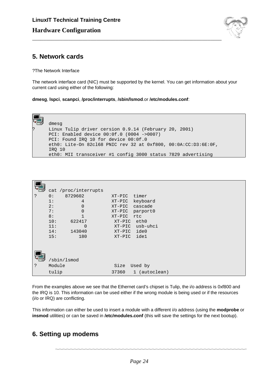

# **5. Network cards**

?The Network Interface

The network interface card (NIC) must be supported by the kernel. You can get information about your current card using either of the following:

\_\_\_\_\_\_\_\_\_\_\_\_\_\_\_\_\_\_\_\_\_\_\_\_\_\_\_\_\_\_\_\_\_\_\_\_\_\_\_\_\_\_\_\_\_\_\_\_\_\_\_\_\_\_\_\_\_\_\_\_\_\_\_\_\_\_\_\_

**dmesg**, **lspci**, **scanpci**, **/proc/interrupts**, **/sbin/lsmod**.or **/etc/modules.conf**:



|   | cat /proc/interrupts |                        |
|---|----------------------|------------------------|
| ? | 8729602<br>0:        | timer<br>$XT-PIC$      |
|   | 1:<br>4              | keyboard<br>XT-PIC     |
|   | 2:<br>$\Omega$       | cascade<br>$XT-PIC$    |
|   | 7:<br>$\Omega$       | XT-PIC parport0        |
|   | 8:                   | $XT-PIC$<br>rtc        |
|   | 10:<br>622417        | eth0<br>$XT-PIC$       |
|   | 11:<br>$\Omega$      | usb-uhci<br>$XT-PIC$   |
|   | 14:<br>143040        | ide0<br>$XT-PIC$       |
|   | 15:<br>180           | ide1<br>$XT-PIC$       |
|   |                      |                        |
|   |                      |                        |
|   |                      |                        |
|   |                      |                        |
|   | /sbin/lsmod          |                        |
| ? | Module               | Size<br>Used by        |
|   | tulip                | 37360<br>1 (autoclean) |

From the examples above we see that the Ethernet card's chipset is Tulip, the i/o address is 0xf800 and the IRQ is 10. This information can be used either if the wrong module is being used or if the resources (i/o or IRQ) are conflicting.

This information can either be used to insert a module with a different i/o address (using the **modprobe** or **insmod** utilities) or can be saved in **/etc/modules.conf** (this will save the settings for the next bootup).

# **6. Setting up modems**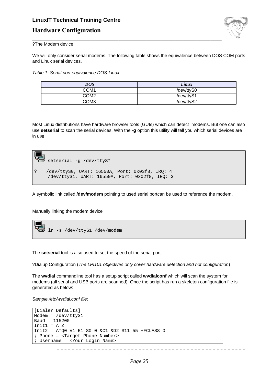### **Hardware Configuration**



?The Modem device

We will only consider serial modems. The following table shows the equivalence between DOS COM ports and Linux serial devices.

\_\_\_\_\_\_\_\_\_\_\_\_\_\_\_\_\_\_\_\_\_\_\_\_\_\_\_\_\_\_\_\_\_\_\_\_\_\_\_\_\_\_\_\_\_\_\_\_\_\_\_\_\_\_\_\_\_\_\_\_\_\_\_\_\_\_\_\_

Table 1: Serial port equivalence DOS-Linux

| DOS              | Linux      |
|------------------|------------|
| COM <sub>1</sub> | /dev/ttyS0 |
| COM <sub>2</sub> | /dev/ttyS1 |
| COM <sub>3</sub> | /dev/ttyS2 |

Most Linux distributions have hardware browser tools (GUIs) which can detect modems. But one can also use **setserial** to scan the serial devices. With the **-g** option this utility will tell you which serial devices are in use:



A symbolic link called **/dev/modem** pointing to used serial portcan be used to reference the modem.

Manually linking the modem device



The **setserial** tool is also used to set the speed of the serial port.

?Dialup Configuration (The LPI101 objectives only cover hardware detection and not configuration)

The **wvdial** commandline tool has a setup script called **wvdialconf** which will scan the system for modems (all serial and USB ports are scanned). Once the script has run a skeleton configuration file is generated as below:

Sample /etc/wvdial.conf file:

```
[Dialer Defaults]
Modem = /dev/ttyS1
Baud = 115200
Init1 = ATZ
Init2 = ATQ0 V1 E1 S0=0 &C1 &D2 S11=55 +FCLASS=0
; Phone = <Target Phone Number>
; Username = <Your Login Name>
```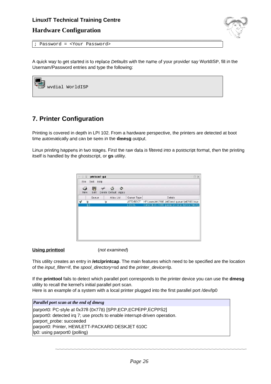### **Hardware Configuration**



; Password = <Your Password>

A quick way to get started is to replace Defaults with the name of your provider say WorldISP, fill in the Usernam/Password entries and type the following:

\_\_\_\_\_\_\_\_\_\_\_\_\_\_\_\_\_\_\_\_\_\_\_\_\_\_\_\_\_\_\_\_\_\_\_\_\_\_\_\_\_\_\_\_\_\_\_\_\_\_\_\_\_\_\_\_\_\_\_\_\_\_\_\_\_\_\_\_



# **7. Printer Configuration**

Printing is covered in depth in LPI 102. From a hardware perspective, the printers are detected at boot time automatically and can be seen in the **dmesg** output.

Linux printing happens in two stages. First the raw data is filtered into a postscript format, then the printing itself is handled by the ghostscript, or **gs** utility.

| $-0\frac{1}{4}$ |                         | printconf-gui |                                |                  | $\cdot$ $\Box$ $\times$                         |
|-----------------|-------------------------|---------------|--------------------------------|------------------|-------------------------------------------------|
| File            | Test Help               |               |                                |                  |                                                 |
|                 | 野<br>Edit<br><b>New</b> | ↚             | 삽<br>۵<br>Delete Default Apply |                  |                                                 |
|                 | Queue                   |               | Alias List                     | Queue Type       | <b>Details</b>                                  |
| $\checkmark$    | Ip.                     | Ip.           |                                | <b>JETDIRECT</b> | HP LaserJet 2100 JetDirect queue ljet2100.linux |
|                 | lp2                     |               |                                | LOCAL            | Canon BJC-1000 queue on local device /dev/lp    |
|                 |                         |               |                                |                  |                                                 |
|                 |                         |               |                                |                  |                                                 |
|                 |                         |               |                                |                  |                                                 |

#### **Using printtool** (not examined)

This utility creates an entry in **/etc/printcap**. The main features which need to be specified are the location of the *input\_filter=if*, the spool\_directory=sd and the *printer\_device=lp*.

If the **printtool** fails to detect which parallel port corresponds to the printer device you can use the **dmesg** utility to recall the kernel's initial parallel port scan. Here is an example of a system with a local printer plugged into the first parallel port /dev/lp0

*Parallel port scan at the end of dmesg* parport0: PC-style at 0x378 (0x778) [SPP,ECP,ECPEPP,ECPPS2]

parport0: detected irq 7; use procfs to enable interrupt-driven operation. parport\_probe: succeeded parport0: Printer, HEWLETT-PACKARD DESKJET 610C lp0: using parport0 (polling)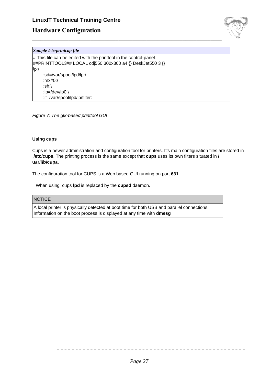### **Hardware Configuration**



#### *Sample /etc/printcap file*

 $\#$  This file can be edited with the printtool in the control-panel. ##PRINTTOOL3## LOCAL cdj550 300x300 a4 {} DeskJet550 3 {} lp:\ :sd=/var/spool/lpd/lp:\ :mx#0:\ :sh:\ :lp=/dev/lp0:\ :if=/var/spool/lpd/lp/filter:

\_\_\_\_\_\_\_\_\_\_\_\_\_\_\_\_\_\_\_\_\_\_\_\_\_\_\_\_\_\_\_\_\_\_\_\_\_\_\_\_\_\_\_\_\_\_\_\_\_\_\_\_\_\_\_\_\_\_\_\_\_\_\_\_\_\_\_\_

Figure 7: The gtk-based printtool GUI

#### **Using cups**

Cups is a newer administration and configuration tool for printers. It's main configuration files are stored in **/etc/cups**. The printing process is the same except that **cups** uses its own filters situated in **/ usr/lib/cups**.

The configuration tool for CUPS is a Web based GUI running on port **631**.

When using cups **lpd** is replaced by the **cupsd** daemon.

#### **NOTICE**

A local printer is physically detected at boot time for both USB and parallel connections. Information on the boot process is displayed at any time with **dmesg**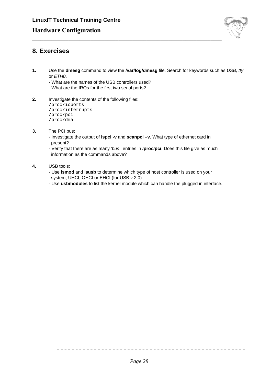

# **8. Exercises**

**1.** Use the **dmesg** command to view the **/var/log/dmesg** file. Search for keywords such as USB, tty or ETH0.

\_\_\_\_\_\_\_\_\_\_\_\_\_\_\_\_\_\_\_\_\_\_\_\_\_\_\_\_\_\_\_\_\_\_\_\_\_\_\_\_\_\_\_\_\_\_\_\_\_\_\_\_\_\_\_\_\_\_\_\_\_\_\_\_\_\_\_\_

- What are the names of the USB controllers used?
- What are the IRQs for the first two serial ports?
- **2.** Investigate the contents of the following files:

/proc/ioports /proc/interrupts /proc/pci /proc/dma

- **3.** The PCI bus:
	- Investigate the output of **lspci -v** and **scanpci –v**. What type of ethernet card in present?
	- Verify that there are as many 'bus ' entries in **/proc/pci**. Does this file give as much information as the commands above?
- **4.** USB tools:
	- Use **lsmod** and **lsusb** to determine which type of host controller is used on your system, UHCI, OHCI or EHCI (for USB v 2.0).
	- Use **usbmodules** to list the kernel module which can handle the plugged in interface.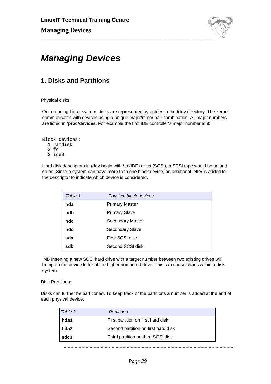

# **Managing Devices**

# **1. Disks and Partitions**

#### Physical disks:

On a running Linux system, disks are represented by entries in the **/dev** directory. The kernel communicates with devices using a unique major/minor pair combination. All major numbers are listed in **/proc/devices**. For example the first IDE controller's major number is **3**:

Block devices: 1 ramdisk 2 fd 3 ide0

Hard disk descriptors in **/dev** begin with hd (IDE) or sd (SCSI), a SCSI tape would be st, and so on. Since a system can have more than one block device, an additional letter is added to the descriptor to indicate which device is considered.

| Table 1 | Physical block devices |
|---------|------------------------|
| hda     | <b>Primary Master</b>  |
| hdb     | <b>Primary Slave</b>   |
| hdc     | Secondary Master       |
| hdd     | <b>Secondary Slave</b> |
| sda     | First SCSI disk        |
| sdb     | Second SCSI disk       |

NB Inserting a new SCSI hard drive with a target number between two existing drives will bump up the device letter of the higher numbered drive. This can cause chaos within a disk system.

#### **Disk Partitions:**

Disks can further be partitioned. To keep track of the partitions a number is added at the end of each physical device.

| Table 2 | Partitions                          |
|---------|-------------------------------------|
| hda1    | First partition on first hard disk  |
| hda2    | Second partition on first hard disk |
| sdc3    | Third partition on third SCSI disk  |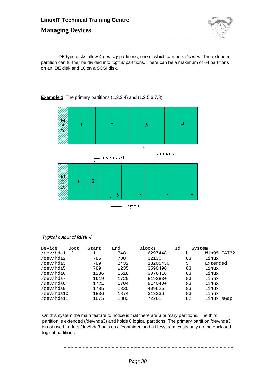# **LinuxIT Technical Training Centre Managing Devices**



IDE type disks allow 4 primary partitions, one of which can be extended. The extended partition can further be divided into logical partitions. There can be a maximum of 64 partitions on an IDE disk and 16 on a SCSI disk.





#### Typical output of **fdisk -l**

| Device     | Boot | Start | End  | Blocks    | Id | System |             |
|------------|------|-------|------|-----------|----|--------|-------------|
| /dev/hda1  | *    |       | 748  | 6297448+  |    | b      | Win95 FAT32 |
| /dev/hda2  |      | 785   | 788  | 32130     |    | 83     | Linux       |
| /dev/hda3  |      | 789   | 2432 | 13205430  |    | 5      | Extended    |
| /dev/hda5  |      | 789   | 1235 | 3590496   |    | 83     | Linux       |
| /dev/hda6  |      | 1236  | 1618 | 3076416   |    | 83     | Linux       |
| /dev/hda7  |      | 1619  | 1720 | 819283+   |    | 83     | Linux       |
| /dev/hda8  |      | 1721  | 1784 | $514048+$ |    | 83     | Linux       |
| /dev/hda9  |      | 1785  | 1835 | 409626    |    | 83     | Linux       |
| /dev/hda10 |      | 1836  | 1874 | 313236    |    | 83     | Linux       |
| /dev/hda11 |      | 1875  | 1883 | 72261     |    | 82     | Linux swap  |

On this system the main feature to notice is that there are 3 primary partitions. The third partition is extended (/dev/hda3) and holds 8 logical partitions. The primary partition /dev/hda3 is not used. In fact /dev/hda3 acts as a 'container' and a filesystem exists only on the enclosed logical partitions.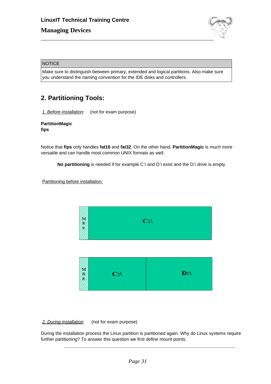

#### **NOTICE**

Make sure to distinguish between primary, extended and logical partitions. Also make sure you understand the naming convention for the IDE disks and controllers.

# **2. Partitioning Tools:**

1. Before installation: (not for exam purpose)

**PartitionMagic fips**

Notice that **fips** only handles **fat16** and **fat32**. On the other hand, **PartitionMagic** is much more versatile and can handle most common UNIX formats as well.

**No partitioning** is needed if for example C:\ and D:\ exist and the D:\ drive is empty.

Partitioning before installation:



| $\mathbf{D}$ :\<br>$C:\setminus$ |
|----------------------------------|
|----------------------------------|

2. During installation: (not for exam purpose)

During the installation process the Linux partition is partitioned again. Why do Linux systems require further partitioning? To answer this question we first define mount points.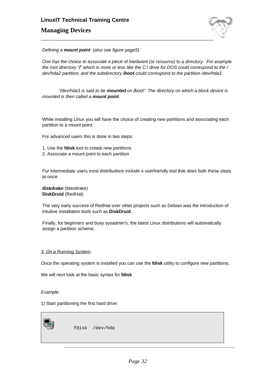# **LinuxIT Technical Training Centre Managing Devices**



Defining a **mount point**: (also see figure page5)

One has the choice to associate a piece of hardware (or resource) to a directory. For example the root directory "**/**" which is more or less like the C:\ drive for DOS could correspond to the / dev/hda2 partition, and the subdirectory **/boot** could correspond to the partition /dev/hda3.

"/dev/hda3 is said to be **mounted** on **/**boot". The directory on which a block device is mounted is then called a **mount point**.

While installing Linux you will have the choice of creating new partitions and associating each partition to a mount point.

For advanced users this is done in two steps:

- 1. Use the **fdisk** tool to create new partitions
- 2. Associate a mount point to each partition

For intermediate users most distributions include a userfriendly tool that does both these steps at once:

#### **diskdrake** (Mandrake) **DiskDruid** (RedHat)

The very early success of RedHat over other projects such as Debian was the introduction of intuitive installation tools such as **DiskDruid**.

Finally, for beginners and busy sysadmin's, the latest Linux distributions will automatically assign a partition scheme.

#### 3. On a Running System:

Once the operating system is installed you can use the **fdisk** utility to configure new partitions.

We will next look at the basic syntax for **fdisk**

#### Example:

1) Start partitioning the first hard drive:



fdisk /dev/hda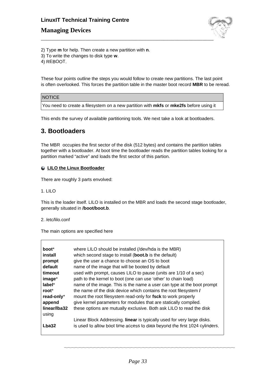### **Managing Devices**



2) Type **m** for help. Then create a new partition with **n**.

- 3) To write the changes to disk type **w**.
- 4) REBOOT.

These four points outline the steps you would follow to create new partitions. The last point is often overlooked. This forces the partition table in the master boot record **MBR** to be reread.

#### NOTICE

You need to create a filesystem on a new partition with **mkfs** or **mke2fs** before using it

This ends the survey of available partitioning tools. We next take a look at bootloaders.

### **3. Bootloaders**

The MBR occupies the first sector of the disk (512 bytes) and contains the partition tables together with a bootloader. At boot time the bootloader reads the partition tables looking for a partition marked "active" and loads the first sector of this partion.

#### **LILO the Linux Bootloader**

There are roughly 3 parts envolved:

#### 1. LILO

This is the loader itself. LILO is installed on the MBR and loads the second stage bootloader, generally situated in **/boot/boot.b**.

#### 2. /etc/lilo.conf

The main options are specified here

| boot <sup>*</sup><br>install<br>prompt<br>default<br>timeout<br>image*<br>label*<br>root <sup>*</sup><br>read-only*<br>append<br>linear/lba32 | where LILO should be installed (/dev/hda is the MBR)<br>which second stage to install (boot.b is the default)<br>give the user a chance to choose an OS to boot<br>name of the image that will be booted by default<br>used with prompt, causes LILO to pause (units are 1/10 of a sec)<br>path to the kernel to boot (one can use 'other' to chain load)<br>name of the image. This is the name a user can type at the boot prompt<br>the name of the disk device which contains the root filesystem /<br>mount the root filesystem read-only for fsck to work properly<br>give kernel parameters for modules that are statically compiled.<br>these options are mutually exclusive. Both ask LILO to read the disk |
|-----------------------------------------------------------------------------------------------------------------------------------------------|----------------------------------------------------------------------------------------------------------------------------------------------------------------------------------------------------------------------------------------------------------------------------------------------------------------------------------------------------------------------------------------------------------------------------------------------------------------------------------------------------------------------------------------------------------------------------------------------------------------------------------------------------------------------------------------------------------------------|
| Lba32                                                                                                                                         | Linear Block Addressing. linear is typically used for very large disks.<br>is used to allow boot time access to data beyond the first 1024 cylinders.                                                                                                                                                                                                                                                                                                                                                                                                                                                                                                                                                                |
| using                                                                                                                                         |                                                                                                                                                                                                                                                                                                                                                                                                                                                                                                                                                                                                                                                                                                                      |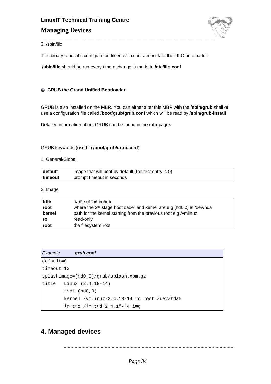

3. /sbin/lilo

This binary reads it's configuration file /etc/lilo.conf and installs the LILO bootloader.

**/sbin/lilo** should be run every time a change is made to **/etc/lilo.conf**

#### **GRUB the Grand Unified Bootloader**

GRUB is also installed on the MBR. You can either alter this MBR with the **/sbin/grub** shell or use a configuration file called **/boot/grub/grub.conf** which will be read by **/sbin/grub-install**

Detailed information about GRUB can be found in the **info** pages

#### GRUB keywords (used in **/boot/grub/grub.conf**):

#### 1. General/Global

| default   | image that will boot by default (the first entry is 0) |
|-----------|--------------------------------------------------------|
| ∣ timeout | prompt timeout in seconds                              |

2. Image

| title  | name of the image                                                          |
|--------|----------------------------------------------------------------------------|
| root   | where the $2^{nd}$ stage bootloader and kernel are e.g (hd0,0) is /dev/hda |
| kernel | path for the kernel starting from the previous root e.g / vmlinuz          |
| ro     | read-only                                                                  |
| root   | the filesystem root                                                        |

| Example       | grub.conf                                   |
|---------------|---------------------------------------------|
| $default = 0$ |                                             |
| $timeout=10$  |                                             |
|               | $splashimage=(hd0,0)/qrub/splash,xpm,qz$    |
|               | title Linux $(2.4.18-14)$                   |
|               | root $(hd0,0)$                              |
|               | kernel /vmlinuz-2.4.18-14 ro root=/dev/hda5 |
|               | initrd /initrd-2.4.18-14.img                |

### **4. Managed devices**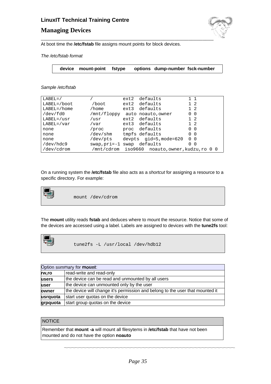### **Managing Devices**



At boot time the **/etc/fstab** file assigns mount points for block devices.

The /etc/fstab format

|  |  | device mount-point fstype options dump-number fsck-number |
|--|--|-----------------------------------------------------------|
|  |  |                                                           |

#### Sample /etc/fstab

| $LABEL=$         |                | ext2 | defaults                                     | $1\quad1$                  |
|------------------|----------------|------|----------------------------------------------|----------------------------|
| LABEL=/boot      | /boot          | ext2 | defaults                                     | $1\quad 2$                 |
| $LABEL = / home$ | /home          |      | ext3 defaults                                | $1\quad2$                  |
| /dev/fd0         |                |      | /mnt/floppy auto noauto, owner               | $0\quad 0$                 |
| $LABEL=/usr$     | /usr           |      | ext2 defaults                                | $1\quad2$                  |
| $LABEL=/var$     | /var           |      | ext3 defaults                                | $1\quad 2$                 |
| none             | /proc          |      | proc defaults                                | $\Omega$<br>$\overline{0}$ |
| none             | /dev/shm       |      | tmpfs defaults                               | 0 <sub>0</sub>             |
| none             | /dev/pts       |      | devpts qid=5, mode=620                       | 0 <sub>0</sub>             |
| /dev/hdc9        | $swap, pri=-1$ | swap | defaults                                     | 0<br>- 0                   |
| /dev/cdrom       |                |      | /mnt/cdrom iso9660 noauto,owner,kudzu,ro 0 0 |                            |

On a running system the **/etc/fstab** file also acts as a shortcut for assigning a resource to a specific directory. For example:



mount /dev/cdrom

The **mount** utility reads **fstab** and deduces where to mount the resource. Notice that some of the devices are accessed using a label. Labels are assigned to devices with the **tune2fs** tool:



tune2fs -L /usr/local /dev/hdb12

| Option summary for mount: |                                                                               |  |
|---------------------------|-------------------------------------------------------------------------------|--|
| rw.ro                     | read-write and read-only                                                      |  |
| <b>users</b>              | the device can be read and unmounted by all users                             |  |
| luser                     | the device can unmounted only by the user                                     |  |
| owner                     | the device will change it's permission and belong to the user that mounted it |  |
| usrquota                  | start user quotas on the device                                               |  |
| grpquota                  | start group quotas on the device                                              |  |

#### **NOTICE**

Remember that **mount -a** will mount all filesytems in **/etc/fstab** that have not been mounted and do not have the option **noauto**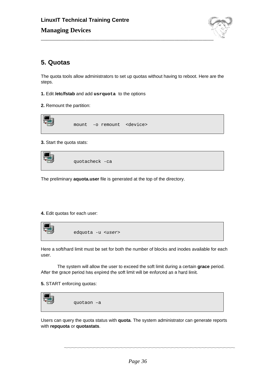

# **5. Quotas**

The quota tools allow administrators to set up quotas without having to reboot. Here are the steps.

- **1.** Edit **/etc/fstab** and add **usrquota** to the options
- **2.** Remount the partition:



#### **3.** Start the quota stats:

| quotacheck -ca |
|----------------|
|                |

The preliminary **aquota.user** file is generated at the top of the directory.

#### **4.** Edit quotas for each user:

| - 183<br>द्धा | edquota -u <user></user> |
|---------------|--------------------------|
|               |                          |

Here a soft/hard limit must be set for both the number of blocks and inodes available for each user.

The system will allow the user to exceed the soft limit during a certain **grace** period. After the grace period has expired the soft limit will be enforced as a hard limit.

**5.** START enforcing quotas:



Users can query the quota status with **quota**. The system administrator can generate reports with **repquota** or **quotastats**.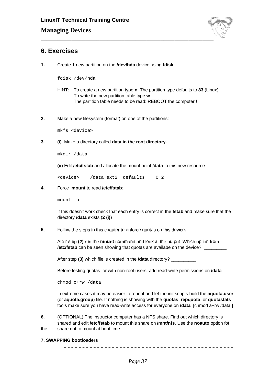

## **6. Exercises**

**1.** Create 1 new partition on the **/dev/hda** device using **fdisk**.

fdisk /dev/hda

- HINT: To create a new partition type **n**. The partition type defaults to **83** (Linux) To write the new partition table type **w**. The partition table needs to be read: REBOOT the computer !
- **2.** Make a new filesystem (format) on one of the partitions:

mkfs <device>

**3. (i)** Make a directory called **data in the root directory.**

mkdir /data

**(ii)** Edit **/etc/fstab** and allocate the mount point **/data** to this new resource

<device> /data ext2 defaults 0 2

**4.** Force **mount** to read **/etc/fstab**:

mount –a

If this doesn't work check that each entry is correct in the **fstab** and make sure that the directory **/data** exists (**2 (i)**)

**5.** Follow the steps in this chapter to enforce quotas on this device.

After step **(2)** run the **mount** command and look at the output. Which option from **/etc/fstab** can be seen showing that quotas are availabe on the device?

After step **(3)** which file is created in the **/data** directory? \_\_\_\_\_\_\_\_\_\_

Before testing quotas for with non-root users, add read-write permissions on **/data**

chmod o+rw /data

In extreme cases it may be easier to reboot and let the init scripts build the **aquota.user** (or **aquota.group**) file. If nothing is showing with the **quotas**, **repquota**, or **quotastats** tools make sure you have read-write access for everyone on **/data** [chmod a+rw /data ]

\_\_\_\_\_\_\_\_\_\_\_\_\_\_\_\_\_\_\_\_\_\_\_\_\_\_\_\_\_\_\_\_\_\_\_\_\_\_\_\_\_\_\_\_\_\_\_\_\_\_\_\_\_\_\_\_\_\_\_\_\_\_\_\_\_\_\_\_\_\_\_\_\_\_\_\_\_\_\_\_\_\_\_\_\_\_\_\_\_\_\_\_

**6.** (OPTIONAL) The instructor computer has a NFS share. Find out which directory is shared and edit **/etc/fstab** to mount this share on **/mnt/nfs**. Use the **noauto** option fot the share not to mount at boot time.

#### **7. SWAPPING bootloaders**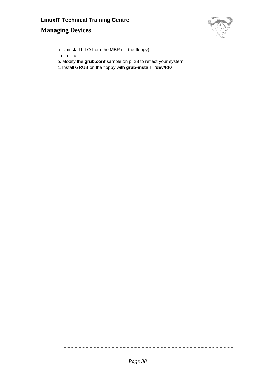# \_\_\_\_\_\_\_\_\_\_\_\_\_\_\_\_\_\_\_\_\_\_\_\_\_\_\_\_\_\_\_\_\_\_\_\_\_\_\_\_\_\_\_\_\_\_\_\_\_\_\_\_\_\_\_\_\_\_\_\_\_\_

- a. Uninstall LILO from the MBR (or the floppy)
- lilo –u
- b. Modify the **grub.conf** sample on p. 28 to reflect your system
- c. Install GRUB on the floppy with **grub-install /dev/fd0**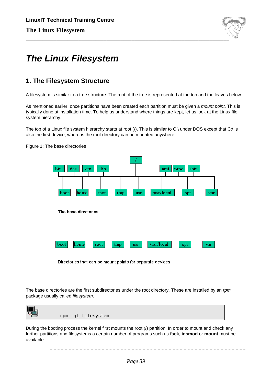

# **The Linux Filesystem**

## **1. The Filesystem Structure**

A filesystem is similar to a tree structure. The root of the tree is represented at the top and the leaves below.

As mentioned earlier, once partitions have been created each partition must be given a *mount point*. This is typically done at installation time. To help us understand where things are kept, let us look at the Linux file system hierarchy.

The top of a Linux file system hierarchy starts at root  $($ ). This is similar to C:\ under DOS except that C:\ is also the first device, whereas the root directory can be mounted anywhere.

> bin dev lib. sbin etc mnt |  $|$  proc /usr/local boot root usr home tmp opt var The base directories boot home root tmp usr /usr/local opt var

Figure 1: The base directories

Directories that can be mount points for separate devices

The base directories are the first subdirectories under the root directory. These are installed by an rpm package usually called filesystem.



During the booting process the kernel first mounts the root (/) partition. In order to mount and check any further partitions and filesystems a certain number of programs such as **fsck**, **insmod** or **mount** must be available.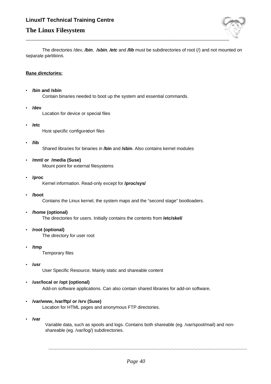

The directories /dev, **/bin**, **/sbin**, **/etc** and **/lib** must be subdirectories of root (/) and not mounted on separate partitions.

#### **Base directories:**

• **/bin and /sbin**

Contain binaries needed to boot up the system and essential commands.

• **/dev**

Location for device or special files

• **/etc**

Host specific configuration files

• **/lib**

Shared libraries for binaries in **/bin** and **/sbin**. Also contains kernel modules

- **/mnt/ or /media (Suse)** Mount point for external filesystems
- **/proc**

Kernel information. Read-only except for **/proc/sys/**

• **/boot**

Contains the Linux kernel, the system maps and the "second stage" bootloaders.

- **/home (optional)** The directories for users. Initially contains the contents from **/etc/skel/**
- **/root (optional)** The directory for user root
- **/tmp**

Temporary files

• **/usr**

User Specific Resource. Mainly static and shareable content

- **/usr/local or /opt (optional)** Add-on software applications. Can also contain shared libraries for add-on software.
- **/var/www, /var/ftp/ or /srv (Suse)**

Location for HTML pages and anonymous FTP directories.

• **/var**

Variable data, such as spools and logs. Contains both shareable (eg. /var/spool/mail) and nonshareable (eg. /var/log/) subdirectories.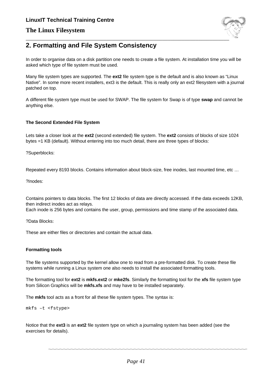## **The Linux Filesystem**



## **2. Formatting and File System Consistency**

In order to organise data on a disk partition one needs to create a file system. At installation time you will be asked which type of file system must be used.

Many file system types are supported. The **ext2** file system type is the default and is also known as "Linux Native". In some more recent installers, ext3 is the default. This is really only an ext2 filesystem with a journal patched on top.

A different file system type must be used for SWAP. The file system for Swap is of type **swap** and cannot be anything else.

#### **The Second Extended File System**

Lets take a closer look at the **ext2** (second extended) file system. The **ext2** consists of blocks of size 1024 bytes =1 KB (default). Without entering into too much detail, there are three types of blocks:

?Superblocks:

Repeated every 8193 blocks. Contains information about block-size, free inodes, last mounted time, etc …

?Inodes:

Contains pointers to data blocks. The first 12 blocks of data are directly accessed. If the data exceeds 12KB, then indirect inodes act as relays.

Each inode is 256 bytes and contains the user, group, permissions and time stamp of the associated data.

?Data Blocks:

These are either files or directories and contain the actual data.

#### **Formatting tools**

The file systems supported by the kernel allow one to read from a pre-formatted disk. To create these file systems while running a Linux system one also needs to install the associated formatting tools.

The formatting tool for **ext2** is **mkfs.ext2** or **mke2fs**. Similarly the formatting tool for the **xfs** file system type from Silicon Graphics will be **mkfs.xfs** and may have to be installed separately.

The **mkfs** tool acts as a front for all these file system types. The syntax is:

mkfs –t <fstype>

Notice that the **ext3** is an **ext2** file system type on which a journaling system has been added (see the exercises for details).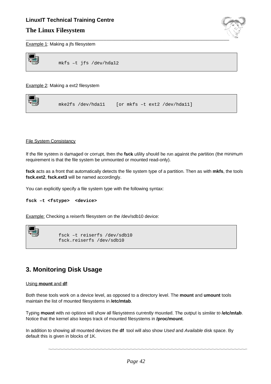### **The Linux Filesystem**



Example 1: Making a jfs filesystem



Example 2: Making a ext2 filesystem

| mke2fs /dev/hda11 | [or mkfs -t ext2 /dev/hda11] |
|-------------------|------------------------------|
|                   |                              |
|                   |                              |

#### File System Consistancy

If the file system is damaged or corrupt, then the **fsck** utility should be run against the partition (the minimum requirement is that the file system be unmounted or mounted read-only).

**fsck** acts as a front that automatically detects the file system type of a partition. Then as with **mkfs**, the tools **fsck.ext2**, **fsck.ext3** will be named accordingly.

You can explicitly specify a file system type with the following syntax:

**fsck –t <fstype> <device>**

Example: Checking a reiserfs filesystem on the /dev/sdb10 device:



```
fsck –t reiserfs /dev/sdb10
fsck.reiserfs /dev/sdb10
```
## **3. Monitoring Disk Usage**

#### Using **mount** and **df**:

Both these tools work on a device level, as opposed to a directory level. The **mount** and **umount** tools maintain the list of mounted filesystems in **/etc/mtab**.

Typing **mount** with no options will show all filesystems currently mounted. The output is similar to **/etc/mtab**. Notice that the kernel also keeps track of mounted filesystems in **/proc/mount**.

In addition to showing all mounted devices the **df** tool will also show Used and Available disk space. By default this is given in blocks of 1K.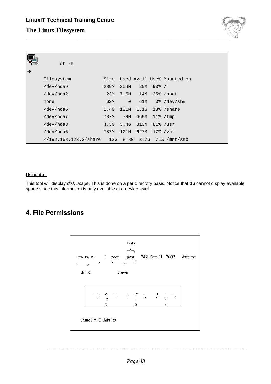

| → | $df - h$                                                  |      |                |           |                 |                            |
|---|-----------------------------------------------------------|------|----------------|-----------|-----------------|----------------------------|
|   | Filesystem                                                | Size |                |           |                 | Used Avail Use% Mounted on |
|   | /dev/hda9                                                 | 289M | 254M           | 20M       | $93\frac{8}{1}$ |                            |
|   | /dev/hda2                                                 | 23M  |                | 7.5M 14M  |                 | 35% /boot                  |
|   | none                                                      | 62M  | $\overline{0}$ |           |                 | $61M$ $0%$ /dev/shm        |
|   | /dev/hda5                                                 | 1.4G | 181M           |           |                 | 1.1G 13% / share           |
|   | /dev/hda7                                                 | 787M | 79M            | 669M      |                 | $11\%$ /tmp                |
|   | /dev/hda3                                                 | 4.3G |                | 3.4G 813M |                 | $81\%$ /usr                |
|   | /dev/hda6                                                 | 787M | 121M           | 627M      |                 | $17\%$ /var                |
|   | $1/192.168.123.2/\text{share}$ 12G 8.8G 3.7G 71% /mnt/smb |      |                |           |                 |                            |

#### Using **du**:

This tool will display disk usage. This is done on a per directory basis. Notice that **du** cannot display available space since this information is only available at a device level.

## **4. File Permissions**

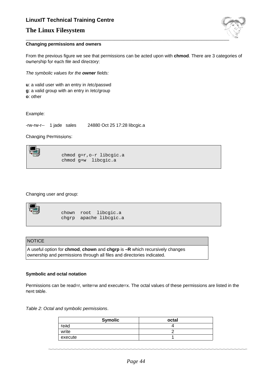## **The Linux Filesystem**



#### **Changing permissions and owners**

From the previous figure we see that permissions can be acted upon with **chmod**. There are 3 categories of ownership for each file and directory:

The symbolic values for the **owner** fields:

**u**: a valid user with an entry in /etc/passwd **g**: a valid group with an entry in /etc/group **o**: other

Example:

-rw-rw-r-- 1 jade sales 24880 Oct 25 17:28 libcgic.a

Changing Permissions:



chmod g=r,o-r libcgic.a chmod g+w libcgic.a

Changing user and group:

| chown root libcqic.a   |
|------------------------|
| chqrp apache libcqic.a |

#### **NOTICE**

A useful option for **chmod**, **chown** and **chgrp** is **–R** which recursively changes ownership and permissions through all files and directories indicated.

#### **Symbolic and octal notation**

Permissions can be read=r, write=w and execute=x. The octal values of these permissions are listed in the next table.

Table 2: Octal and symbolic permissions.

| <b>Symolic</b> | octal |
|----------------|-------|
| read           |       |
| write          |       |
| execute        |       |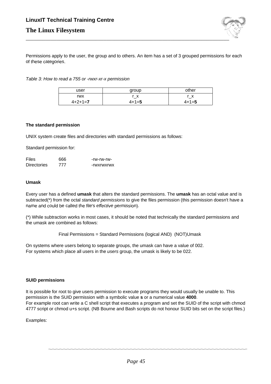

Permissions apply to the user, the group and to others. An item has a set of 3 grouped permissions for each of these categories.

Table 3: How to read a 755 or -rwxr-xr-x permission

| user      | group       | other        |
|-----------|-------------|--------------|
| rwx       | r x         | $\mathbf{x}$ |
| $4+2+1=7$ | $4 + 1 = 5$ | $4 + 1 = 5$  |

#### **The standard permission**

UNIX system create files and directories with standard permissions as follows:

Standard permission for:

| <b>Files</b>       | 666 | -rw-rw-rw- |
|--------------------|-----|------------|
| <b>Directories</b> | 777 | -rwxrwxrwx |

#### **Umask**

Every user has a defined **umask** that alters the standard permissions. The **umask** has an octal value and is subtracted(\*) from the octal standard permissions to give the files permission (this permission doesn't have a name and could be called the file's effective permission).

(\*) While subtraction works in most cases, it should be noted that technically the standard permissions and the umask are combined as follows:

Final Permissions = Standard Permissions (logical AND) (NOT)Umask

On systems where users belong to separate groups, the umask can have a value of 002. For systems which place all users in the users group, the umask is likely to be 022.

#### **SUID permissions**

It is possible for root to give users permission to execute programs they would usually be unable to. This permission is the SUID permission with a symbolic value **s** or a numerical value **4000**. For example root can write a C shell script that executes a program and set the SUID of the script with chmod 4777 script or chmod u+s script. (NB Bourne and Bash scripts do not honour SUID bits set on the script files.)

Examples: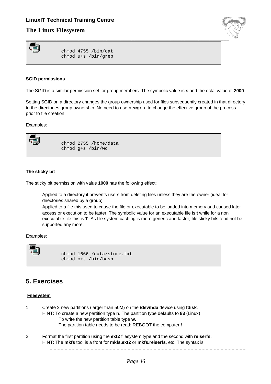## **The Linux Filesystem**



chmod 4755 /bin/cat chmod u+s /bin/grep

#### **SGID permissions**

The SGID is a similar permission set for group members. The symbolic value is **s** and the octal value of **2000**.

Setting SGID on a directory changes the group ownership used for files subsequently created in that directory to the directories group ownership. No need to use newgrp to change the effective group of the process prior to file creation.

Examples:



chmod 2755 /home/data chmod g+s /bin/wc

#### **The sticky bit**

The sticky bit permission with value **1000** has the following effect:

- Applied to a directory it prevents users from deleting files unless they are the owner (ideal for directories shared by a group)
- Applied to a file this used to cause the file or executable to be loaded into memory and caused later access or execution to be faster. The symbolic value for an executable file is **t** while for a non executable file this is **T**. As file system caching is more generic and faster, file sticky bits tend not be supported any more.

Examples:



chmod 1666 /data/store.txt chmod o+t /bin/bash

## **5. Exercises**

#### **Filesystem**

- 1. Create 2 new partitions (larger than 50M) on the **/dev/hda** device using **fdisk**. HINT: To create a new partition type **n**. The partition type defaults to **83** (Linux) To write the new partition table type **w**. The partition table needs to be read: REBOOT the computer !
- 2. Format the first partition using the **ext2** filesystem type and the second with **reiserfs**. HINT: The **mkfs** tool is a front for **mkfs.ext2** or **mkfs.reiserfs**, etc. The syntax is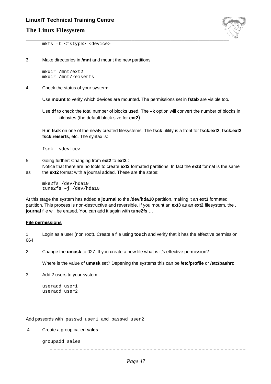## **The Linux Filesystem**



mkfs –t <fstype> <device>

3. Make directories in **/mnt** and mount the new partitions

mkdir /mnt/ext2 mkdir /mnt/reiserfs

4. Check the status of your system:

Use **mount** to verify which devices are mounted. The permissions set in **fstab** are visible too.

Use **df** to check the total number of blocks used. The **–k** option will convert the number of blocks in kilobytes (the default block size for **ext2**)

Run **fsck** on one of the newly created filesystems. The **fsck** utility is a front for **fsck.ext2**, **fsck.ext3**, **fsck.reiserfs**, etc. The syntax is:

fsck <device>

5. Going further: Changing from **ext2** to **ext3** :

Notice that there are no tools to create **ext3** formated partitions. In fact the **ext3** format is the same as the **ext2** format with a journal added. These are the steps:

```
mke2fs /dev/hda10
tune2fs –j /dev/hda10
```
At this stage the system has added a **journal** to the **/dev/hda10** partition, making it an **ext3** formated partition. This process is non-destructive and reversible. If you mount an **ext3** as an **ext2** filesystem, the **. journal** file will be erased. You can add it again with **tune2fs** …

#### **File permissions**

1. Login as a user (non root). Create a file using **touch** and verify that it has the effective permission 664.

2. Change the **umask** to 027. If you create a new file what is it's effective permission?

Where is the value of **umask** set? Depening the systems this can be **/etc/profile** or **/etc/bashrc**

3. Add 2 users to your system.

useradd user1 useradd user2

Add passords with passwd user1 and passwd user2

#### 4. Create a group called **sales**.

groupadd sales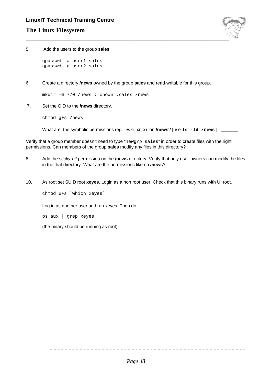

5. Add the users to the group **sales**

gpasswd -a user1 sales gpasswd -a user2 sales

6. Create a directory **/news** owned by the group **sales** and read-writable for this group.

mkdir -m 770 /news ; chown .sales /news

7. Set the GID to the **/news** directory.

chmod g+s /news

What are the symbolic permissions (eg. -rwxr\_xr\_x) on **/news**? [use **ls** -**ld** /news ] \_\_\_\_\_\_

Verify that a group member doesn't need to type "newgrp sales" in order to create files with the right permissions. Can members of the group **sales** modify any files in this directory?

- 8. Add the sticky-bit permission on the **/news** directory. Verify that only user-owners can modify the files in the that directory. What are the permissions like on **/news**?
- 10. As root set SUID root **xeyes**. Login as a non root user. Check that this binary runs with UI root.

chmod u+s `which xeyes`

Log in as another user and run xeyes. Then do:

ps aux | grep xeyes

(the binary should be running as root)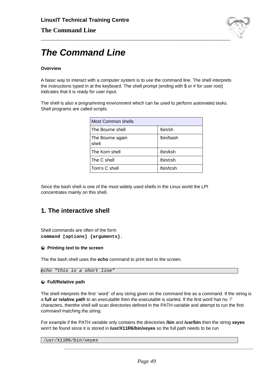

# **The Command Line**

#### **Overview**

A basic way to interact with a computer system is to use the command line. The shell interprets the instructions typed in at the keyboard. The shell prompt (ending with \$ or # for user root) indicates that it is ready for user input.

The shell is also a programming environment which can be used to perform automated tasks. Shell programs are called scripts.

| Most Common shells        |           |
|---------------------------|-----------|
| The Bourne shell          | /bin/sh   |
| The Bourne again<br>shell | /bin/bash |
| The Korn shell            | /bin/ksh  |
| The C shell               | /bin/csh  |
| Tom's C shell             | /bin/tcsh |

Since the bash shell is one of the most widely used shells in the Linux world the LPI concentrates mainly on this shell.

## **1. The interactive shell**

Shell commands are often of the form **command [options] {arguments}.**

#### **Printing text to the screen**

The the bash shell uses the **echo** command to print text to the screen.

echo "this is a short line"

#### **Full/Relative path**

The shell interprets the first "word" of any string given on the command line as a command. If the string is a **full or relative path** to an executable then the executable is started. If the first word has no ¨/¨ characters, thenthe shell will scan directories defined in the PATH variable and attempt to run the first command matching the string.

For example if the PATH variable only contains the directories **/bin** and **/usr/bin** then the string **xeyes** won't be found since it is stored in **/usr/X11R6/bin/xeyes** so the full path needs to be run

/usr/X11R6/bin/xeyes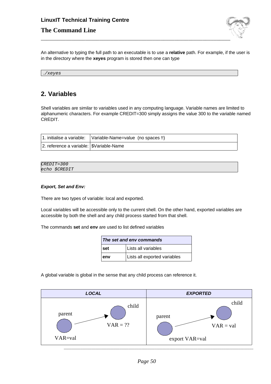## **The Command Line**



An alternative to typing the full path to an executable is to use a **relative** path. For example, if the user is in the directory where the **xeyes** program is stored then one can type

./xeyes

## **2. Variables**

Shell variables are similar to variables used in any computing language. Variable names are limited to alphanumeric characters. For example CREDIT=300 simply assigns the value 300 to the variable named CREDIT.

|                                            | 1. initialise a variable: Variable-Name=value (no spaces !!) |
|--------------------------------------------|--------------------------------------------------------------|
| 2. reference a variable:   \$Variable-Name |                                                              |

| $CREDIT = 300$ |  |
|----------------|--|
| echo \$CREDIT  |  |

#### **Export, Set and Env:**

There are two types of variable: local and exported.

Local variables will be accessible only to the current shell. On the other hand, exported variables are accessible by both the shell and any child process started from that shell.

The commands **set** and **env** are used to list defined variables

| The set and env commands |                              |
|--------------------------|------------------------------|
| set                      | Lists all variables          |
| env                      | Lists all exported variables |

A global variable is global in the sense that any child process can reference it.

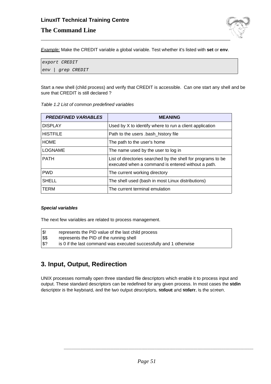## **LinuxIT Technical Training Centre The Command Line**



Example: Make the CREDIT variable a global variable. Test whether it's listed with **set** or **env**.

```
export CREDIT
env | grep CREDIT
```
Start a new shell (child process) and verify that CREDIT is accessible. Can one start any shell and be sure that CREDIT is still declared ?

| <b>PREDEFINED VARIABLES</b> | <b>MEANING</b>                                                                                                     |
|-----------------------------|--------------------------------------------------------------------------------------------------------------------|
| <b>DISPLAY</b>              | Used by X to identify where to run a client application                                                            |
| <b>HISTFILE</b>             | Path to the users .bash_history file                                                                               |
| <b>HOME</b>                 | The path to the user's home                                                                                        |
| <b>LOGNAME</b>              | The name used by the user to log in                                                                                |
| <b>PATH</b>                 | List of directories searched by the shell for programs to be<br>executed when a command is entered without a path. |
| <b>PWD</b>                  | The current working directory                                                                                      |
| <b>SHELL</b>                | The shell used (bash in most Linux distributions)                                                                  |
| <b>TERM</b>                 | The current terminal emulation                                                                                     |

Table 1.2 List of common predefined variables

#### **Special variables**

The next few variables are related to process management.

| $\sqrt{3!}$ | represents the PID value of the last child process                 |
|-------------|--------------------------------------------------------------------|
| <b>SS</b>   | represents the PID of the running shell                            |
| $ $ \$?     | is 0 if the last command was executed successfully and 1 otherwise |

## **3. Input, Output, Redirection**

UNIX processes normally open three standard file descriptors which enable it to process input and output. These standard descriptors can be redefined for any given process. In most cases the **stdin** descriptor is the keyboard, and the two output descriptors, **stdout** and **stderr**, is the screen.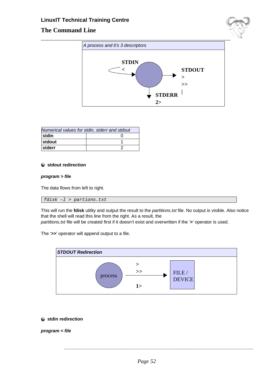## **The Command Line**





| Numerical values for stdin, stderr and stdout |  |  |
|-----------------------------------------------|--|--|
| stdin                                         |  |  |
| <b>stdout</b>                                 |  |  |
| stderr                                        |  |  |

#### **stdout redirection**

#### **program > file**

The data flows from left to right.

#### fdisk –l > partions.txt

This will run the **fdisk** utility and output the result to the partitions.txt file. No output is visible. Also notice that the shell will read this line from the right. As a result, the

partitions.txt file will be created first if it doesn't exist and overwritten if the '**>**' operator is used.





**stdin redirection**

**program < file**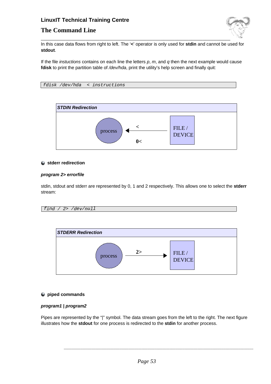## **The Command Line**



In this case data flows from right to left. The '**<**' operator is only used for **stdin** and cannot be used for **stdout**.

If the file instuctions contains on each line the letters  $p$ ,  $m$ , and  $q$  then the next example would cause fdisk to print the partition table of /dev/hda, print the utility's help screen and finally quit:

```
fdisk /dev/hda < instructions
```


#### **stderr redirection**

#### **program 2> errorfile**

stdin, stdout and stderr are represented by 0, 1 and 2 respectively. This allows one to select the **stderr** stream:

$$
find / 2 > /dev/null
$$



#### **piped commands**

#### **program1 | program2**

Pipes are represented by the "|" symbol. The data stream goes from the left to the right. The next figure illustrates how the **stdout** for one process is redirected to the **stdin** for another process.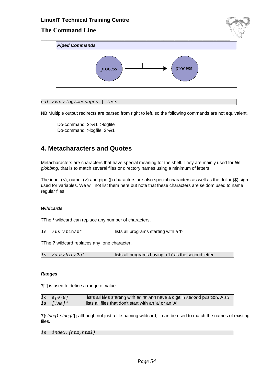## **The Command Line**



cat /var/log/messages | less

NB Multiple output redirects are parsed from right to left, so the following commands are not equivalent.

Do-command 2>&1 >logfile Do-command >logfile 2>&1

## **4. Metacharacters and Quotes**

Metacharacters are characters that have special meaning for the shell. They are mainly used for file globbing, that is to match several files or directory names using a minimum of letters.

The input  $(<)$ , output  $(>)$  and pipe (|) characters are also special characters as well as the dollar  $(\$)$  sign used for variables. We will not list them here but note that these characters are seldom used to name regular files.

#### **Wildcards**

?The **\*** wildcard can replace any number of characters.

ls /usr/bin/b\* lists all programs starting with a 'b'

?The **?** wildcard replaces any one character.

#### **Ranges**

**?[ ]** is used to define a range of value.

 $\frac{1}{s}$  a[0-9] lists all files starting with an 'a' and have a digit in second position. Also  $\ln |\text{Aa}|^*$  lists all files that don't start with an 'a' or an 'A'

**?{**string1,string2**};** although not just a file naming wildcard, it can be used to match the names of existing files.

ls index.{htm,html}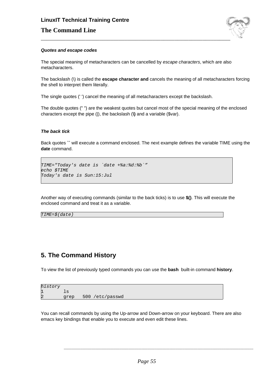## **LinuxIT Technical Training Centre The Command Line**



#### **Quotes and escape codes**

The special meaning of metacharacters can be cancelled by escape characters, which are also metacharacters.

The backslash (\) is called the **escape character and** cancels the meaning of all metacharacters forcing the shell to interpret them literally.

The single quotes (' ') cancel the meaning of all metacharacters except the backslash.

The double quotes (" ") are the weakest quotes but cancel most of the special meaning of the enclosed characters except the pipe (|), the backslash (**\)** and a variable (\$var).

#### **The back tick**

Back quotes **``** will execute a command enclosed. The next example defines the variable TIME using the **date** command.

```
TIME="Today's date is `date +%a:%d:%b`"
echo $TIME
Today's date is Sun:15:Jul
```
Another way of executing commands (similar to the back ticks) is to use **\$()**. This will execute the enclosed command and treat it as a variable.

TIME=\$(date)

## **5. The Command History**

To view the list of previously typed commands you can use the **bash** built-in command **history**.

| history        |      |                 |
|----------------|------|-----------------|
| 1              |      |                 |
| $\overline{2}$ | grep | 500 /etc/passwd |

You can recall commands by using the Up-arrow and Down-arrow on your keyboard. There are also emacs key bindings that enable you to execute and even edit these lines.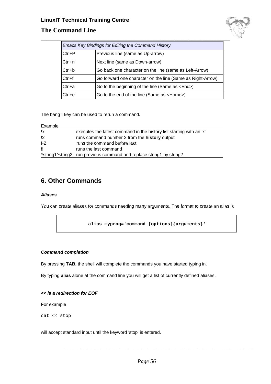

## **The Command Line**

| Emacs Key Bindings for Editing the Command History |                                                            |  |
|----------------------------------------------------|------------------------------------------------------------|--|
| $Ctrl + P$                                         | Previous line (same as Up-arrow)                           |  |
| $Ctrl+n$                                           | Next line (same as Down-arrow)                             |  |
| $Ctrl + b$                                         | Go back one character on the line (same as Left-Arrow)     |  |
| Ctrl+f                                             | Go forward one character on the line (Same as Right-Arrow) |  |
| $Ctrl+a$                                           | Go to the beginning of the line (Same as <end>)</end>      |  |
| $Ctrl + e$                                         | Go to the end of the line (Same as <home>)</home>          |  |

The bang **!** key can be used to rerun a command.

| Example |
|---------|
|---------|

| ‼x            | executes the latest command in the history list starting with an 'x' |
|---------------|----------------------------------------------------------------------|
| $\mathsf{I}2$ | runs command number 2 from the <b>history</b> output                 |
| $1-2$         | runs the command before last                                         |
| w             | runs the last command                                                |
|               | ^string1^string2 run previous command and replace string1 by string2 |

## **6. Other Commands**

#### **Aliases**

You can create aliases for commands needing many arguments. The format to create an alias is

**alias myprog='command [options]{arguments}'**

#### **Command completion**

By pressing **TAB,** the shell will complete the commands you have started typing in.

By typing **alias** alone at the command line you will get a list of currently defined aliases.

#### **<< is a redirection for EOF**

For example

cat << stop

will accept standard input until the keyword 'stop' is entered.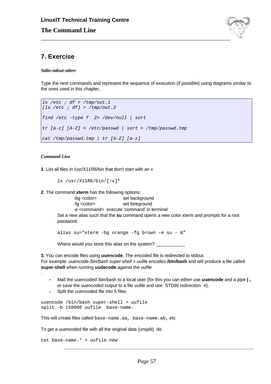

## **7. Exercise**

*Stdin-stdout-stderr*

Type the next commands and represent the sequence of execution (if possible) using diagrams similar to the ones used in this chapter.

```
ls /etc ; df > /tmp/out.1
(ls /etc ; df) > /tmp/out.2
find /etc -type f 2> /dev/null | sort
tr [a-z] [A-Z] < /etc/passwd | sort > /tmp/passwd.tmp
cat /tmp/passwd.tmp | tr [A-Z] [a-z]
```
#### *Command Line*

.

**1**. List all files in /usr/X11R6/bin that don't start with an x

ls /usr/X11R6/bin/[!x]\*

**2**. The command **xterm** has the following options:

-bg <color>
set background -fg <color> set foreground -e <command> execute 'command' in terminal Set a new alias such that the **su** command opens a new color xterm and prompts for a root password.

alias su="xterm -bg orange -fg brown -e su - &"

Where would you store this alias on the system?

**3**. You can encode files using **uuencode**. The encoded file is redirected to stdout. For example: uuencode /bin/bash super-shell > uufile encodes **/bin/bash** and will produce a file called **super-shell** when running **uudecode** against the uufile

- Mail the uuencoded /bin/bash to a local user (for this you can either use **uuencode** and a pipe **| ,** or save the uuencoded output to a file uufile and use STDIN redirection **<**).
- Split the uuencoded file into 5 files:

```
uuencode /bin/bash super-shell > uufile
split –b 150000 uufile base-name.
```
This will create files called base-name.aa, base-name.ab, etc

To get a uuencoded file with all the original data (unsplit) do

```
cat base-name.* > uufile.new
```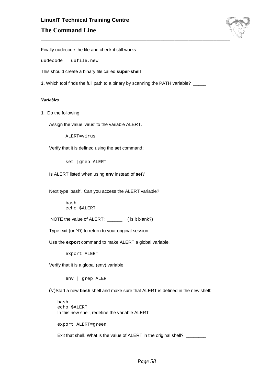## **LinuxIT Technical Training Centre The Command Line**



Finally uudecode the file and check it still works.

uudecode uufile.new

This should create a binary file called **super-shell**

**3.** Which tool finds the full path to a binary by scanning the PATH variable?

#### *Variables*

**1**. Do the following

Assign the value 'virus' to the variable ALERT.

ALERT=virus

Verify that it is defined using the **set** command:

set |grep ALERT

Is ALERT listed when using **env** instead of **set**?

Next type 'bash'. Can you access the ALERT variable?

bash echo \$ALERT

NOTE the value of ALERT: \_\_\_\_\_\_ ( is it blank?)

Type exit (or ^D) to return to your original session.

Use the **export** command to make ALERT a global variable.

export ALERT

Verify that it is a global (env) variable

env | grep ALERT

(v)Start a new **bash** shell and make sure that ALERT is defined in the new shell:

bash echo \$ALERT In this new shell, redefine the variable ALERT

export ALERT=green

Exit that shell. What is the value of ALERT in the original shell? \_\_\_\_\_\_\_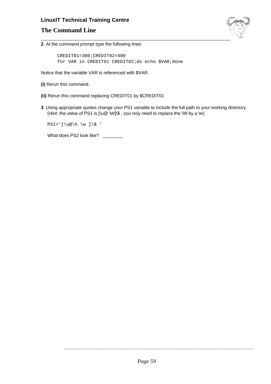## **The Command Line**



**2**. At the command prompt type the following lines:

CREDIT01=300;CREDIT02=400 for VAR in CREDIT01 CREDIT02;do echo \$VAR;done

Notice that the variable VAR is referenced with \$VAR.

- **(i)** Rerun this command.
- **(ii)** Rerun this command replacing CREDIT01 by \$CREDIT01
- **3**. Using appropriate quotes change your PS1 variable to include the full path to your working directory. (Hint: the value of PS1 is  $\lceil \log \sqrt{W} \rceil$ , you only need to replace the  $\lceil W \rceil$  by a  $\lceil w \rceil$

 $PS1='$  [\u@\h \w ]\\$ '

What does PS2 look like? \_\_\_\_\_\_\_\_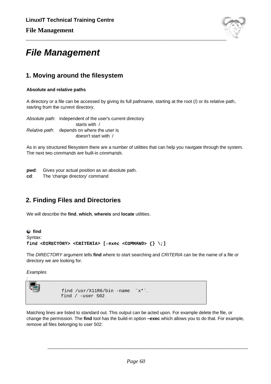

## **File Management**

## **1. Moving around the filesystem**

#### **Absolute and relative paths**

A directory or a file can be accessed by giving its full pathname, starting at the root (/) or its relative path, starting from the current directory.

Absolute path: independent of the user's current directory starts with / Relative path: depends on where the user is doesn't start with /

As in any structured filesystem there are a number of utilities that can help you navigate through the system. The next two commands are built-in commands.

- **pwd**: Gives your actual position as an absolute path.
- **cd**: The 'change directory' command

## **2. Finding Files and Directories**

We will describe the **find**, **which**, **whereis** and **locate** utilities.

```
find
Syntax:
find <DIRECTORY> <CRITERIA> [-exec <COMMAND> {} \;]
```
The DIRECTORY argument tells **find** where to start searching and CRITERIA can be the name of a file or directory we are looking for.

**Examples** 

:

```
find /usr/X11R6/bin -name ¨x*¨.
find / -user 502
```
Matching lines are listed to standard out. This output can be acted upon. For example delete the file, or change the permission. The **find** tool has the build-in option **–exec** which allows you to do that. For example, remove all files belonging to user 502: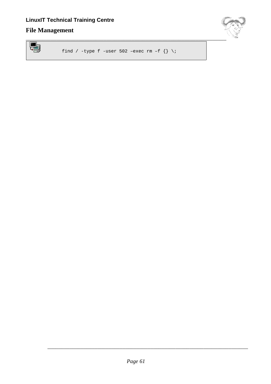## **File Management**



find / -type f -user 502 -exec rm -f  $\{\} \setminus i$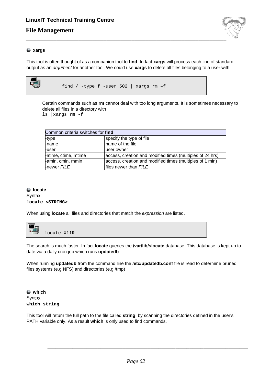## **File Management**



#### **xargs**

This tool is often thought of as a companion tool to **find**. In fact **xargs** will process each line of standard output as an argument for another tool. We could use **xargs** to delete all files belonging to a user with:



find / -type f -user 502 | xargs rm –f

Certain commands such as **rm** cannot deal with too long arguments. It is sometimes necessary to delete all files in a directory with

ls |xargs rm -f

| Common criteria switches for find |                                                           |  |
|-----------------------------------|-----------------------------------------------------------|--|
| -type                             | specify the type of file                                  |  |
| <b>L</b> name                     | name of the file                                          |  |
| <b>Luser</b>                      | user owner                                                |  |
| -atime, ctime, mtime              | access, creation and modified times (multiples of 24 hrs) |  |
| -amin, cmin, mmin                 | access, creation and modified times (multiples of 1 min)  |  |
| -newer FILE                       | files newer than FILE                                     |  |

## **locate**

Syntax: **locate <STRING>**

When using **locate** all files and directories that match the expression are listed.



The search is much faster. In fact **locate** queries the **/var/lib/slocate** database. This database is kept up to date via a daily cron job which runs **updatedb**.

When running **updatedb** from the command line the **/etc/updatedb.conf** file is read to determine pruned files systems (e.g NFS) and directories (e.g /tmp)

**which** Syntax: **which string**

This tool will return the full path to the file called **string** by scanning the directories defined in the user's PATH variable only. As a result **which** is only used to find commands.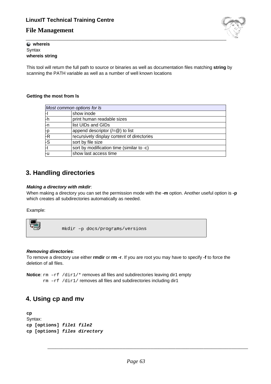## **File Management**

# \_\_\_\_\_\_\_\_\_\_\_\_\_\_\_\_\_\_\_\_\_\_\_\_\_\_\_\_\_\_\_\_\_\_\_\_\_\_\_\_\_\_\_\_\_\_\_\_\_\_\_\_\_\_\_\_\_\_\_\_\_\_\_\_\_\_\_\_\_\_\_\_

#### **whereis Syntax whereis string**

This tool will return the full path to source or binaries as well as documentation files matching **string** by scanning the PATH variable as well as a number of well known locations

#### **Getting the most from ls**

| Most common options for Is |                                            |  |  |
|----------------------------|--------------------------------------------|--|--|
|                            |                                            |  |  |
| H.                         | show inode                                 |  |  |
| -h                         | print human readable sizes                 |  |  |
| l-n                        | list UIDs and GIDs                         |  |  |
| -p                         | append descriptor $(2-\omega)$ to list     |  |  |
| -R                         | recursively display content of directories |  |  |
| -S                         | sort by file size                          |  |  |
| -t                         | sort by modification time (similar to -c)  |  |  |
| ŀи                         | show last access time                      |  |  |

## **3. Handling directories**

#### **Making a directory with mkdir**:

When making a directory you can set the permission mode with the **-m** option. Another useful option is **-p** which creates all subdirectories automatically as needed.

Example:



mkdir –p docs/programs/versions

#### **Removing directories**:

To remove a directory use either **rmdir** or **rm -r**. If you are root you may have to specify **-f** to force the deletion of all files.

**Notice:** rm  $-rf /dir1/*$  removes all files and subdirectories leaving dir1 empty rm –rf /dir1/ removes all files and subdirectories including dir1

## **4. Using cp and mv**

**cp** Syntax: **cp [options] file1 file2 cp [options] files directory**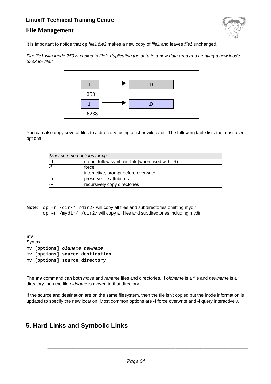## **File Management**



It is important to notice that **cp** file1 file2 makes a new copy of file1 and leaves file1 unchanged.

Fig: file1 with inode 250 is copied to file2, duplicating the data to a new data area and creating a new inode 6238 for file2



You can also copy several files to a directory, using a list or wildcards. The following table lists the most used options.

|    | Most common options for cp                      |
|----|-------------------------------------------------|
| ⊦d | do not follow symbolic link (when used with -R) |
|    | force                                           |
|    | interactive, prompt before overwrite            |
| Fр | preserve file attributes                        |
| ŀR | recursively copy directories                    |

**Note:** cp –r /dir/\* /dir2/ will copy all files and subdirectories omitting mydir  $cp -r$  /mydir/ /dir2/ will copy all files and subdirectories including mydir

**mv** Syntax: **mv [options] oldname newname mv [options] source destination mv [options] source directory**

The **mv** command can both move and rename files and directories. If oldname is a file and newname is a directory then the file oldname is moved to that directory.

If the source and destination are on the same filesystem, then the file isn't copied but the inode information is updated to specify the new location. Most common options are **-f** force overwrite and **-i** query interactively.

## **5. Hard Links and Symbolic Links**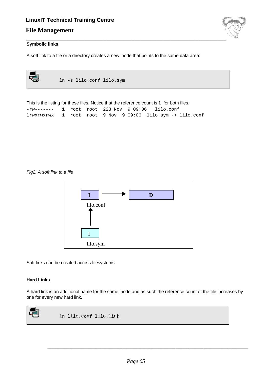## **File Management**



#### **Symbolic links**

A soft link to a file or a directory creates a new inode that points to the same data area:

| ln -s lilo.conf lilo.sym                                                                 |
|------------------------------------------------------------------------------------------|
| This is the listing for these files. Notice that the reference count is 1 for both files |

|  |  | THIS IS THE IISTHOLD THESE HIES. NOTICE THAT THE FEIGHEFICE COUTLES THOLDOTH HIES. |  |
|--|--|------------------------------------------------------------------------------------|--|
|  |  | $-rw-----$ 1 root root 223 Nov 9 09:06 lilo.conf                                   |  |
|  |  | $1$ rwxrwxrwx $1$ root root 9 Nov 9 09:06 $1$ ilo.sym -> $1$ ilo.conf              |  |

Fig2: A soft link to a file



Soft links can be created across filesystems.

#### **Hard Links**

A hard link is an additional name for the same inode and as such the reference count of the file increases by one for every new hard link.

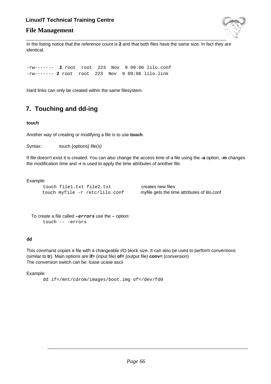## **File Management**



In the listing notice that the reference count is **2** and that both files have the same size. In fact they are identical.

-rw------- **2** root root 223 Nov 9 09:06 lilo.conf -rw------- **2** root root 223 Nov 9 09:06 lilo.link

Hard links can only be created within the same filesystem.

## **7. Touching and dd-ing**

#### **touch**

Another way of creating or modifying a file is to use **touch**.

Syntax: touch {options} *file(s)* 

If file doesn't exist it is created. You can also change the access time of a file using the **-a** option, **-m** changes the modification time and **-r** is used to apply the time attributes of another file.

#### Example:

touch file1.txt file2.txt creates new files touch myfile -r /etc/lilo.conf myfile gets the time attributes of lilo.conf

To create a file called **–errors** use the **–** option: touch -- -errors

#### **dd**

This command copies a file with a changeable I/O block size. It can also be used to perform conversions (similar to **tr**). Main options are **if=** (input file) **of=** (output file) **conv=** (conversion) The conversion switch can be: lcase ucase ascii

Example:

dd if=/mnt/cdrom/images/boot.img of=/dev/fd0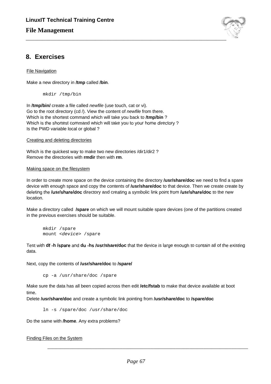

## **8. Exercises**

File Navigation

Make a new directory in **/tmp** called **/bin**.

mkdir /tmp/bin

In **/tmp/bin/** create a file called newfile (use touch, cat or vi). Go to the root directory (cd /). View the content of newfile from there. Which is the shortest command which will take you back to **/tmp/bin** ? Which is the shortest command which will take you to your home directory ? Is the PWD variable local or global ?

Creating and deleting directories

Which is the quickest way to make two new directories /dir1/dir2 ? Remove the directories with **rmdir** then with **rm**.

#### Making space on the filesystem

In order to create more space on the device containing the directory **/usr/share/doc** we need to find a spare device with enough space and copy the contents of **/usr/share/doc** to that device. Then we create create by deleting the **/usr/share/doc** directory and creating a symbolic link point from **/usr/share/doc** to the new location.

Make a directory called **/spare** on which we will mount suitable spare devices (one of the partitions created in the previous exercises should be suitable.

mkdir /spare mount <device> /spare

Test with **df -h /spare** and **du -hs /usr/share/doc** that the device is large enough to contain all of the existing data.

Next, copy the contents of **/usr/share/doc** to **/spare/**

cp -a /usr/share/doc /spare

Make sure the data has all been copied across then edit **/etc/fstab** to make that device available at boot time.

Delete **/usr/share/doc** and create a symbolic link pointing from **/usr/share/doc** to **/spare/doc**

ln -s /spare/doc /usr/share/doc

Do the same with **/home**. Any extra problems?

Finding Files on the System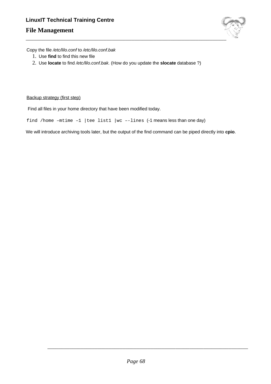## **File Management**



Copy the file /etc/lilo.conf to /etc/lilo.conf.bak

- 1. Use **find** to find this new file
- 2. Use **locate** to find /etc/lilo.conf.bak. (How do you update the **slocate** database ?)

#### Backup strategy (first step)

Find all files in your home directory that have been modified today.

find /home –mtime –1 |tee list1 |wc –-lines (-1 means less than one day)

We will introduce archiving tools later, but the output of the find command can be piped directly into **cpio**.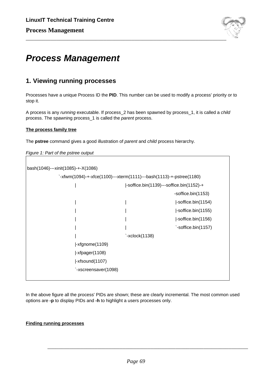

## **Process Management**

## **1. Viewing running processes**

Processes have a unique Process ID the **PID**. This number can be used to modify a process' priority or to stop it.

A process is any running executable. If process\_2 has been spawned by process\_1, it is called a child process. The spawning process 1 is called the *parent* process.

#### **The process family tree**

The **pstree** command gives a good illustration of parent and child process hierarchy.

Figure 1: Part of the pstree output

```
bash(1046)---xinit(1085)-+-X(1086)
              `-xfwm(1094)-+-xfce(1100)---xterm(1111)---bash(1113)-+-pstree(1180)
                     | |-soffice.bin(1139)---soffice.bin(1152)-+
                                                                   -soffice.bin(1153)
                                             | | |-soffice.bin(1154)
                                                                    | | |-soffice.bin(1155)
                                                                    | | |-soffice.bin(1156)
                                                                    `-soffice.bin(1157)
                                             \text{'-}xclock(1138)|-xfgnome(1109)
                      |-xfpager(1108)
                      |-xfsound(1107)
                      `-xscreensaver(1098)
```
In the above figure all the process' PIDs are shown; these are clearly incremental. The most common used options are **-p** to display PIDs and **-h** to highlight a users processes only.

#### **Finding running processes**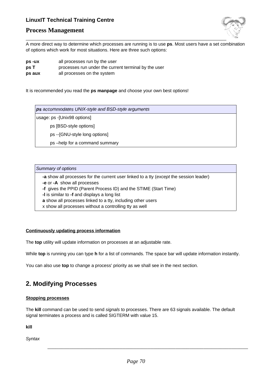

#### **Process Management**

A more direct way to determine which processes are running is to use **ps**. Most users have a set combination of options which work for most situations. Here are three such options:

- **ps -ux** all processes run by the user
- **ps T** processes run under the current terminal by the user
- **ps aux** all processes on the system

It is recommended you read the **ps manpage** and choose your own best options!

**ps** accommodates UNIX-style and BSD-style arguments usage: ps -[Unix98 options] ps [BSD-style options] ps --[GNU-style long options] ps –help for a command summary

#### Summary of options

**-a** show all processes for the current user linked to a tty (except the session leader)

**-e** or **-A** show all processes

**-f** gives the PPID (Parent Process ID) and the STIME (Start Time)

- **-l** is similar to **-f** and displays a long list
- **a** show all processes linked to a tty, including other users
- x show all processes without a controlling tty as well

#### **Continuously updating process information**

The **top** utility will update information on processes at an adjustable rate.

While **top** is running you can type **h** for a list of commands. The space bar will update information instantly.

You can also use **top** to change a process' priority as we shall see in the next section.

## **2. Modifying Processes**

#### **Stopping processes**

The **kill** command can be used to send signals to processes. There are 63 signals available. The default signal terminates a process and is called SIGTERM with value 15.

**kill**

**Syntax**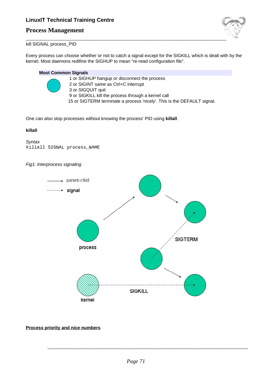## **Process Management**



kill SIGNAL process\_PID

Every process can choose whether or not to catch a signal except for the SIGKILL which is dealt with by the kernel. Most daemons redifine the SIGHUP to mean "re-read configuration file".

#### **Most Common Signals**



 or SIGHUP hangup or disconnect the process or SIGINT same as Ctrl+C interrupt or SIGQUIT quit or SIGKILL kill the process through a kernel call or SIGTERM terminate a process 'nicely'. This is the DEFAULT signal.

One can also stop processes without knowing the process' PID using **killall**.

#### **killall**

**Syntax** killall SIGNAL process\_NAME

Fig1: Interprocess signaling



#### **Process priority and nice numbers**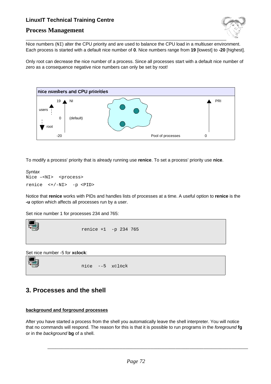



\_\_\_\_\_\_\_\_\_\_\_\_\_\_\_\_\_\_\_\_\_\_\_\_\_\_\_\_\_\_\_\_\_\_\_\_\_\_\_\_\_\_\_\_\_\_\_\_\_\_\_\_\_\_\_\_\_\_\_\_\_\_\_\_\_\_\_\_\_\_\_\_ Nice numbers (NI) alter the CPU priority and are used to balance the CPU load in a multiuser environment. Each process is started with a default nice number of **0**. Nice numbers range from **19** [lowest] to **-20** [highest].

Only root can decrease the nice number of a process. Since all processes start with a default nice number of zero as a consequence negative nice numbers can only be set by root!



To modify a process' priority that is already running use **renice**. To set a process' priority use **nice**.

```
Syntax
Nice -<NI> <process>
renice <+/-NI> -p <PID>
```
Notice that **renice** works with PIDs and handles lists of processes at a time. A useful option to **renice** is the **-u** option which affects all processes run by a user.

Set nice number 1 for processes 234 and 765:



Set nice number -5 for **xclock**:



nice --5 xclock

## **3. Processes and the shell**

#### **background and forground processes**

After you have started a process from the shell you automatically leave the shell interpreter. You will notice that no commands will respond. The reason for this is that it is possible to run programs in the foreground **fg** or in the background **bg** of a shell.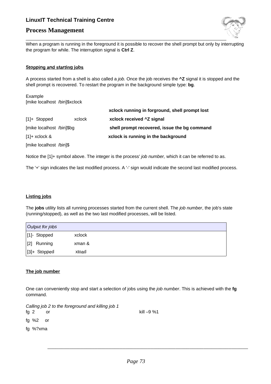## **Process Management**



When a program is running in the foreground it is possible to recover the shell prompt but only by interrupting the program for while. The interruption signal is **Ctrl Z**.

### **Stopping and starting jobs**

A process started from a shell is also called a job. Once the job receives the **^Z** signal it is stopped and the shell prompt is recovered. To restart the program in the background simple type: **bg**.

Example [mike localhost /bin]\$xclock

|                           |                         | xclock running in forground, shell prompt lost |  |
|---------------------------|-------------------------|------------------------------------------------|--|
| $[1]+$ Stopped            | <b>xclock</b>           | xclock received ^Z signal                      |  |
| [mike localhost /bin]\$bg |                         | shell prompt recovered, issue the bg command   |  |
| $[1]+$ xclock &           |                         | xclock is running in the background            |  |
|                           | [mike localhost /bin]\$ |                                                |  |

Notice the [1]+ symbol above. The integer is the process' job number, which it can be referred to as.

The '+' sign indicates the last modified process. A '-' sign would indicate the second last modified process.

### **Listing jobs**

The **jobs** utility lists all running processes started from the current shell. The job number, the job's state (running/stopped), as well as the two last modified processes, will be listed.

| Output for jobs  |        |
|------------------|--------|
| [1]- Stopped     | xclock |
| $[2]$<br>Running | xman & |
| [3]+ Stopped     | xload  |

### **The job number**

One can conveniently stop and start a selection of jobs using the job number. This is achieved with the **fg** command.

Calling job 2 to the foreground and killing job 1

fg 2 or

kill –9 %1

\_\_\_\_\_\_\_\_\_\_\_\_\_\_\_\_\_\_\_\_\_\_\_\_\_\_\_\_\_\_\_\_\_\_\_\_\_\_\_\_\_\_\_\_\_\_\_\_\_\_\_\_\_\_\_\_\_\_\_\_\_\_\_\_\_\_\_\_\_\_\_\_

fg %2 or

fg %?xma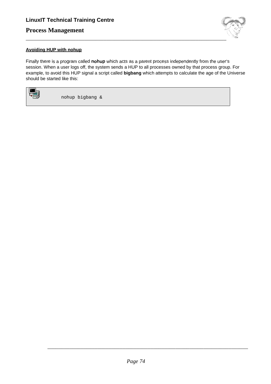# **Process Management**



### **Avoiding HUP with nohup**

Finally there is a program called **nohup** which acts as a parent process independently from the user's session. When a user logs off, the system sends a HUP to all processes owned by that process group. For example, to avoid this HUP signal a script called **bigbang** which attempts to calculate the age of the Universe should be started like this:



nohup bigbang &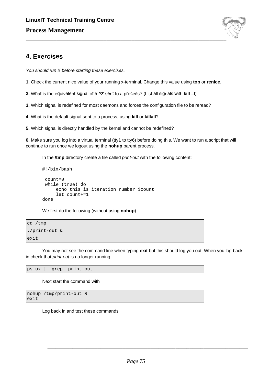

# **4. Exercises**

You should run X before starting these exercises.

- **1.** Check the current nice value of your running x-terminal. Change this value using **top** or **renice**.
- **2.** What is the equivalent signal of a **^Z** sent to a process? (List all signals with **kill –l**)
- **3.** Which signal is redefined for most daemons and forces the configuration file to be reread?
- **4.** What is the default signal sent to a process, using **kill** or **killall**?
- **5.** Which signal is directly handled by the kernel and cannot be redefined?

**6.** Make sure you log into a virtual terminal (tty1 to tty6) before doing this. We want to run a script that will continue to run once we logout using the **nohup** parent process.

In the **/tmp** directory create a file called print-out with the following content:

```
#!/bin/bash
 count=0
 while (true) do
     echo this is iteration number $count
     let count+=1
done
```
We first do the following (without using **nohup**) :

```
cd /tmp
./print-out &
exit
```
You may not see the command line when typing **exit** but this should log you out. When you log back in check that *print-out* is no longer running

ps ux | grep print-out

Next start the command with

```
nohup /tmp/print-out &
exit
```
Log back in and test these commands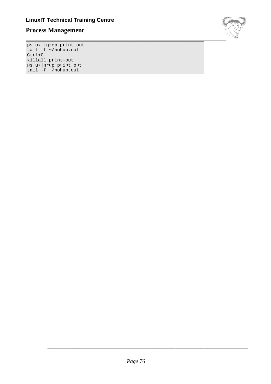# **Process Management**

\_\_\_\_\_\_\_\_\_\_\_\_\_\_\_\_\_\_\_\_\_\_\_\_\_\_\_\_\_\_\_\_\_\_\_\_\_\_\_\_\_\_\_\_\_\_\_\_\_\_\_\_\_\_\_\_\_\_\_\_\_\_\_\_\_\_\_\_\_\_\_\_

ps ux |grep print-out tail -f ~/nohup.out Ctrl+C killall print-out ps ux|grep print-out tail -f ~/nohup.out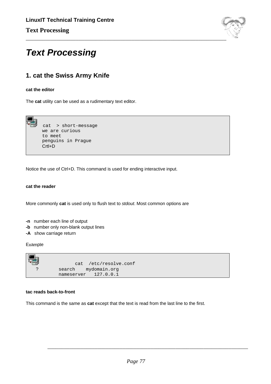

# **Text Processing**

# **1. cat the Swiss Army Knife**

### **cat the editor**

The **cat** utility can be used as a rudimentary text editor.



Notice the use of Ctrl+D. This command is used for ending interactive input.

### **cat the reader**

More commonly **cat** is used only to flush text to stdout. Most common options are

- **-n** number each line of output
- **-b** number only non-blank output lines
- **-A** show carriage return

Example



#### **tac reads back-to-front**

This command is the same as **cat** except that the text is read from the last line to the first.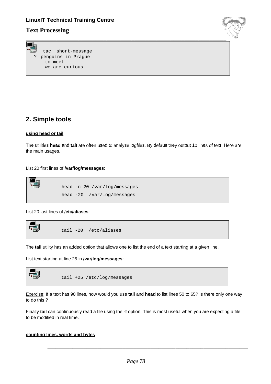### **Text Processing**





# **2. Simple tools**

### **using head or tail**

The utilities **head** and **tail** are often used to analyse logfiles. By default they output 10 lines of text. Here are the main usages.

### List 20 first lines of **/var/log/messages**:

\n
$$
\begin{array}{r}\n \text{head -n 20 / var/log/messages} \\
 \text{head -20 / var/log/messages}\n \end{array}
$$
\n

List 20 last lines of **/etc/aliases**:



The **tail** utility has an added option that allows one to list the end of a text starting at a given line.

List text starting at line 25 in **/var/log/messages**:



Exercise: If a text has 90 lines, how would you use **tail** and **head** to list lines 50 to 65? Is there only one way to do this ?

Finally **tail** can continuously read a file using the **-f** option. This is most useful when you are expecting a file to be modified in real time.

### **counting lines, words and bytes**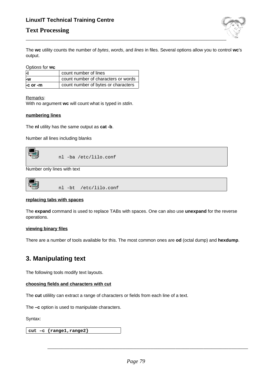## **Text Processing**



The **wc** utility counts the number of bytes, words, and lines in files. Several options allow you to control **wc**'s output.

Options for **wc**

|                | count number of lines               |
|----------------|-------------------------------------|
| ⊦w             | count number of characters or words |
| $-$ c or $-$ m | count number of bytes or characters |

Remarks:

With no argument **wc** will count what is typed in stdin.

### **numbering lines**

The **nl** utility has the same output as **cat -b**.

Number all lines including blanks



Number only lines with text

### **replacing tabs with spaces**

The **expand** command is used to replace TABs with spaces. One can also use **unexpand** for the reverse operations.

### **viewing binary files**

There are a number of tools available for this. The most common ones are **od** (octal dump) and **hexdump**.

# **3. Manipulating text**

The following tools modify text layouts.

### **choosing fields and characters with cut**

The **cut** utilility can extract a range of characters or fields from each line of a text.

The **–c** option is used to manipulate characters.

Syntax:

**cut –c {range1,range2}**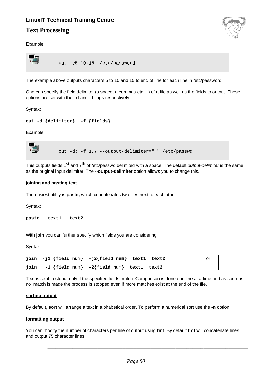### **Text Processing**



Example



The example above outputs characters 5 to 10 and 15 to end of line for each line in /etc/password.

One can specify the field delimiter (a space, a commas etc ...) of a file as well as the fields to output. These options are set with the **–d** and **–f** flags respectively.

Syntax:

Example

cut -d: -f 1,7 --output-delimiter=" " /etc/passwd

This outputs fields 1<sup>st</sup> and 7<sup>th</sup> of /etc/passwd delimited with a space. The default *output-delimiter* is the same as the original input delimiter. The **--output-delimiter** option allows you to change this.

### **joining and pasting text**

The easiest utility is **paste,** which concatenates two files next to each other.

Syntax:

**paste text1 text2**

With **join** you can further specify which fields you are considering.

Syntax:

|  | $\begin{bmatrix} \texttt{join} & -\texttt{j1} & \texttt{field\_num} \end{bmatrix}$ - $\begin{bmatrix} \texttt{yield\_num} \\ \texttt{field\_num} \end{bmatrix}$ text1 text2 |  |
|--|-----------------------------------------------------------------------------------------------------------------------------------------------------------------------------|--|
|  | $\begin{bmatrix} \texttt{join} & -1 \end{bmatrix}$ $\begin{bmatrix} \texttt{field\_num} \end{bmatrix}$ -2 $\begin{bmatrix} \texttt{field\_num} \end{bmatrix}$ text1 text2   |  |

Text is sent to stdout only if the specified fields match. Comparison is done one line at a time and as soon as no match is made the process is stopped even if more matches exist at the end of the file.

### **sorting output**

By default, **sort** will arrange a text in alphabetical order. To perform a numerical sort use the **-n** option.

#### **formatting output**

You can modify the number of characters per line of output using **fmt**. By default **fmt** will concatenate lines and output 75 character lines.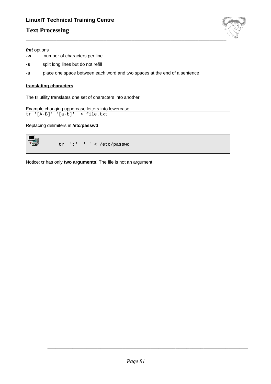# **Text Processing**



#### **fmt** options

- **-w** number of characters per line
- **-s** split long lines but do not refill
- **-u** place one space between each word and two spaces at the end of a sentence

### **translating characters**

The **tr** utility translates one set of characters into another.

```
Example changing uppercase letters into lowercase
tr '[A-B]' '[a-b]' < file.txt
```
Replacing delimiters in **/etc/passwd**:

$$
\text{tr} \quad \text{':} \quad \text{'} \quad \text{'} \quad \text{'} \quad \text{'} \quad \text{'} \quad \text{'} \quad \text{'} \quad \text{'} \quad \text{'} \quad \text{'} \quad \text{'} \quad \text{'} \quad \text{'} \quad \text{'} \quad \text{'} \quad \text{'} \quad \text{'} \quad \text{'} \quad \text{'} \quad \text{'} \quad \text{'} \quad \text{'} \quad \text{'} \quad \text{'} \quad \text{'} \quad \text{'} \quad \text{'} \quad \text{'} \quad \text{'} \quad \text{'} \quad \text{'} \quad \text{'} \quad \text{'} \quad \text{'} \quad \text{'} \quad \text{'} \quad \text{'} \quad \text{'} \quad \text{'} \quad \text{'} \quad \text{'} \quad \text{'} \quad \text{'} \quad \text{'} \quad \text{'} \quad \text{'} \quad \text{'} \quad \text{'} \quad \text{'} \quad \text{'} \quad \text{'} \quad \text{'} \quad \text{'} \quad \text{'} \quad \text{'} \quad \text{'} \quad \text{'} \quad \text{'} \quad \text{'} \quad \text{'} \quad \text{'} \quad \text{'} \quad \text{'} \quad \text{'} \quad \text{'} \quad \text{'} \quad \text{'} \quad \text{'} \quad \text{'} \quad \text{'} \quad \text{'} \quad \text{'} \quad \text{'} \quad \text{'} \quad \text{'} \quad \text{'} \quad \text{'} \quad \text{'} \quad \text{'} \quad \text{'} \quad \text{'} \quad \text{'} \quad \text{'} \quad \text{'} \quad \text{'} \quad \text{'} \quad \text{'} \quad \text{'} \quad \text{'} \quad \text{'} \quad \text{'} \quad \text{'} \quad \text{'} \quad \text{'} \quad \text{'} \quad \text{'} \quad \text{'} \quad \text{'} \quad \text{'} \quad \text{'} \quad \text{'} \quad \text{'} \quad \text{'} \quad \text{'} \quad \text{'} \quad \text{'} \quad \text{'} \quad \text{'} \quad \text{'} \quad \text{'} \quad \text{'} \quad \text{'} \quad \text{'} \quad \text{'} \quad \text{'} \quad \text{'} \quad \text{'} \quad \text{'} \quad \text{'} \quad \text{'} \quad \text{'} \quad \text{'} \quad \text{'} \quad \text{'} \quad \text
$$

Notice: **tr** has only **two arguments**! The file is not an argument.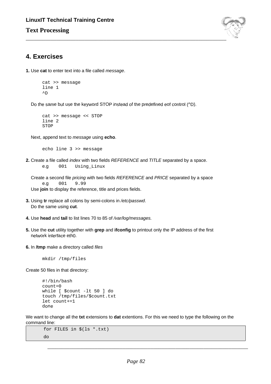## **Text Processing**



## **4. Exercises**

**1.** Use **cat** to enter text into a file called message.

```
cat >> message
line 1
\wedgeD
```
Do the same but use the keyword STOP instead of the predefined eof control (^D).

```
cat >> message << STOP
line 2
STOP
```
Next, append text to message using **echo**.

echo line 3 >> message

**2.** Create a file called index with two fields REFERENCE and TITLE separated by a space. e.g 001 Using\_Linux

Create a second file pricing with two fields REFERENCE and PRICE separated by a space e.g 001 9.99

Use **join** to display the reference, title and prices fields.

- **3.** Using **tr** replace all colons by semi-colons in /etc/passwd. Do the same using **cut**.
- **4.** Use **head** and **tail** to list lines 70 to 85 of /var/log/messages.
- **5.** Use the **cut** utility together with **grep** and **ifconfig** to printout only the IP address of the first network interface eth0.
- **6.** In **/tmp** make a directory called files

mkdir /tmp/files

Create 50 files in that directory:

```
#!/bin/bash
count=0
while [ $count -lt 50 ] do
touch /tmp/files/$count.txt
let count+=1
done
```
We want to change all the **txt** extensions to **dat** extentions. For this we need to type the following on the command line:

```
for FILES in $(ls *.txt)
do
```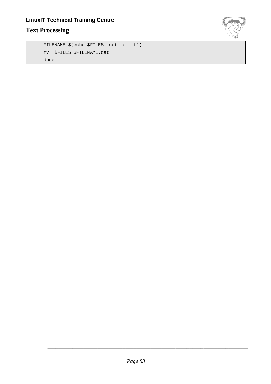# **Text Processing**

```
FILENAME=$(echo $FILES| cut -d. -f1)
mv $FILES $FILENAME.dat
done
```
\_\_\_\_\_\_\_\_\_\_\_\_\_\_\_\_\_\_\_\_\_\_\_\_\_\_\_\_\_\_\_\_\_\_\_\_\_\_\_\_\_\_\_\_\_\_\_\_\_\_\_\_\_\_\_\_\_\_\_\_\_\_\_\_\_\_\_\_\_\_\_\_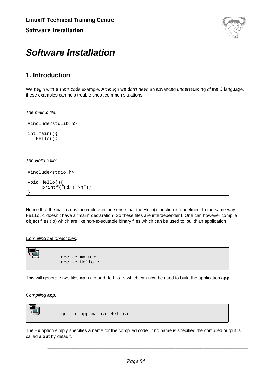

# **Software Installation**

# **1. Introduction**

We begin with a short code example. Although we don't need an advanced understanding of the C language, these examples can help trouble shoot common situations.

### The main.c file:

```
#include<stdlib.h>
int main(){
  Hello();
```
### The Hello.c file:

}

```
#include<stdio.h>
void Hello(){
      printf("Hi ! \n\times");
}
```
Notice that the main.c is incomplete in the sense that the Hello() function is undefined. In the same way Hello.c doesn't have a "main" declaration. So these files are interdependent. One can however compile **object** files (.o) which are like non-executable binary files which can be used to 'build' an application.

### Compiling the object files:

gcc –c main.c gcc –c Hello.c

This will generate two files main.o and Hello.o which can now be used to build the application **app**.

### Compiling **app**:



The **–o** option simply specifies a name for the compiled code. If no name is specified the compiled output is called **a.out** by default.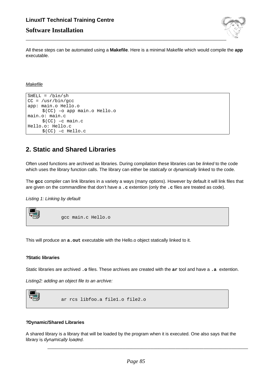# **LinuxIT Technical Training Centre Software Installation**



All these steps can be automated using a **Makefile**. Here is a minimal Makefile which would compile the **app** executable.

**Makefile** 

```
SHELL = /bin / shCC = /usr/bin/gccapp: main.o Hello.o
    $(CC) –o app main.o Hello.o
main.o: main.c
     $(CC) –c main.c
Hello.o: Hello.c
     $(CC) –c Hello.c
```
# **2. Static and Shared Libraries**

Often used functions are archived as libraries. During compilation these libraries can be linked to the code which uses the library function calls. The library can either be *statically* or *dynamically* linked to the code.

The **gcc** compiler can link libraries in a variety a ways (many options). However by default it will link files that are given on the commandline that don't have a **.c** extention (only the **.c** files are treated as code).

Listing 1: Linking by default

gcc main.c Hello.o

This will produce an **a.out** executable with the Hello.o object statically linked to it.

### **?Static libraries**

Static libraries are archived **.o** files. These archives are created with the **ar** tool and have a **.a** extention.

Listing2: adding an object file to an archive:



### **?Dynamic/Shared Libraries**

A shared library is a library that will be loaded by the program when it is executed. One also says that the library is dynamically loaded.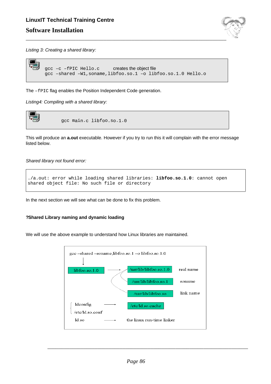# **LinuxIT Technical Training Centre Software Installation**



Listing 3: Creating a shared library:

```
gcc -c -fPIC Hello.c creates the object file
gcc –shared –W1,soname,libfoo.so.1 –o libfoo.so.1.0 Hello.o
```
The -fPIC flag enables the Position Independent Code generation.

Listing4: Compiling with a shared library:



This will produce an **a.out** executable. However if you try to run this it will complain with the error message listed below.

Shared library not found error:

```
./a.out: error while loading shared libraries: libfoo.so.1.0: cannot open
shared object file: No such file or directory
```
In the next section we will see what can be done to fix this problem.

### **?Shared Library naming and dynamic loading**

We will use the above example to understand how Linux libraries are maintained.

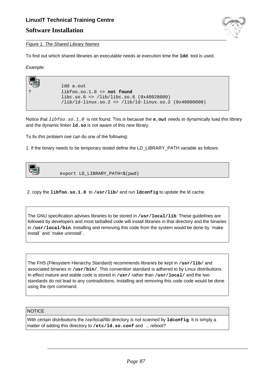

### **Figure 1: The Shared Library Names**

To find out which shared libraries an executable needs at execution time the **ldd** tool is used.

Example:

| ldd a.out<br>$libfoo.so.1.0 \Rightarrow not found$             |
|----------------------------------------------------------------|
| libc.so.6 => $\langle$ lib $\langle$ libc.so.6 (0x40028000)    |
| $(lib/ld-linux.so.2 \implies (lib/ld-linux.so.2 (0x40000000))$ |

Notice that libfoo.so.1.0 is not found. This is because the **a.out** needs to dynamically load this library and the dynamic linker **ld.so** is not aware of this new library.

To fix this problem one can do one of the following:

1. If the binary needs to be temporary tested define the LD\_LIBRARY\_PATH variable as follows:

| 103<br>ष्टा | export LD_LIBRARY_PATH=\$(pwd) |
|-------------|--------------------------------|
|             |                                |

2. copy the **libfoo.so.1.0** to **/usr/lib/** and run **ldconfig** to update the ld cache.

The GNU specification advises libraries to be stored in **/usr/local/lib**. These guidelines are followed by developers and most tarballed code will install libraries in that directory and the binaries in **/usr/local/bin**. Installing and removing this code from the system would be done by ¨make install¨ and ¨make uninstall¨.

The FHS (Filesystem Hierarchy Standard) recommends libraries be kept in **/usr/lib/** and associated binaries in **/usr/bin/**. This convention standard is adhered to by Linux distributions. In effect mature and stable code is stored in **/usr/** rather than **/usr/local/** and the two standards do not lead to any contradictions. Installing and removing this code code would be done using the rpm command.

**NOTICE** 

With certain distributions the /usr/local/lib/ directory is not scanned by **ldconfig**. It is simply a matter of adding this directory to **/etc/ld.so.conf** and ... reboot?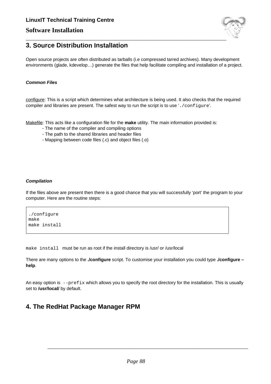## **Software Installation**



## **3. Source Distribution Installation**

Open source projects are often distributed as tarballs (i.e compressed tarred archives). Many development environments (glade, kdevelop…) generate the files that help facilitate compiling and installation of a project.

### **Common Files**

configure: This is a script which determines what architecture is being used. It also checks that the required compiler and libraries are present. The safest way to run the script is to use './configure'.

Makefile: This acts like a configuration file for the **make** utility. The main information provided is:

- The name of the compiler and compiling options
- The path to the shared libraries and header files
- Mapping between code files (.c) and object files (.o)

### **Compilation**

If the files above are present then there is a good chance that you will successfully 'port' the program to your computer. Here are the routine steps:

./configure make make install

make install must be run as root if the install directory is /usr/ or /usr/local

There are many options to the **./configure** script. To customise your installation you could type **./configure – help**.

An easy option is  $-\text{prefix}$  which allows you to specify the root directory for the installation. This is usually set to **/usr/local/** by default.

# **4. The RedHat Package Manager RPM**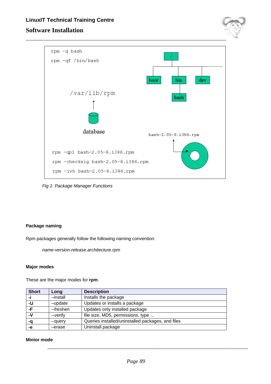# **LinuxIT Technical Training Centre Software Installation**





Fig 1: Package Manager Functions

### **Package naming**

Rpm packages generally follow the following naming convention:

name-version-release.architecture.rpm

### **Major modes**

These are the major modes for **rpm**.

| <b>Short</b> | Long      | <b>Description</b>                                |
|--------------|-----------|---------------------------------------------------|
| -i           | -install  | Installs the package                              |
| -U           | -update   | Updates or installs a package                     |
| -F.          | --freshen | Updates only installed package                    |
| -V           | --verify  | file size, MD5, permissions, type                 |
| -a           | --query   | Queries installed/uninstalled packages, and files |
| -е           | -erase    | Uninstall package                                 |

### **Minior mode**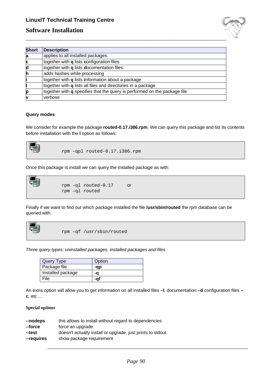## **Software Installation**



| <b>Short</b> | <b>Description</b>                                                               |
|--------------|----------------------------------------------------------------------------------|
| a            | applies to all installed packages                                                |
| C            | together with <b>q</b> lists configuration files                                 |
| d            | together with <b>q</b> lists <b>docomentation</b> files                          |
| h            | adds hashes while processing                                                     |
|              | together with <b>q</b> lists information about a package                         |
|              | together with <b>q</b> lists all files and directories in a package              |
| p            | together with <b>q</b> specifies that the query is performed on the package file |
|              | verbose                                                                          |

### **Query modes**

We consider for example the package **routed-0.17.i386.rpm**. We can query this package and list its contents before installation with the **l** option as follows:



rpm –qpl routed-0.17.i386.rpm

Once this package is install we can query the installed package as with:

```
\begin{matrix} \blacksquare \ \blacksquare \end{matrix}rpm –ql routed-0.17 or
                        rpm –ql routed
```
Finally if we want to find out which package installed the file **/usr/sbin/routed** the rpm database can be queried with:



rpm –qf /usr/sbin/routed

Three query types: uninstalled packages, installed packages and files

| Query Type        | Option |
|-------------------|--------|
| Package file      | -ap    |
| Installed package | -a     |
| File              | -ai    |

An extra option will allow you to get information on all installed files **–l**, documentation **–d** configuration files **– c**, etc ...

### **Special options**

| --nodeps   | this allows to install without regard to dependencies      |
|------------|------------------------------------------------------------|
| --force    | force an upgrade                                           |
| --test     | doesn't actually install or upgrade, just prints to stdout |
| --requires | show package requirement                                   |
|            |                                                            |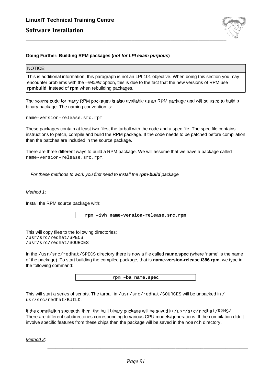

### **Going Further: Building RPM packages (not for LPI exam purpous)**

### NOTICE:

This is additional information, this paragraph is not an LPI 101 objective. When doing this section you may encounter problems with the –rebuild option, this is due to the fact that the new versions of RPM use **rpmbuild** instead of **rpm** when rebuilding packages.

The source code for many RPM packages is also available as an RPM package and will be used to build a binary package. The naming convention is:

name-version-release.src.rpm

These packages contain at least two files, the tarball with the code and a spec file. The spec file contains instructions to patch, compile and build the RPM package. If the code needs to be patched before compilation then the patches are included in the source package.

There are three different ways to build a RPM package. We will assume that we have a package called name-version-release.src.rpm.

For these methods to work you first need to install the **rpm-build** package

Method 1:

Install the RPM source package with:

**rpm –ivh name-version-release.src.rpm**

This will copy files to the following directories: /usr/src/redhat/SPECS /usr/src/redhat/SOURCES

In the /usr/src/redhat/SPECS directory there is now a file called **name.spec** (where 'name' is the name of the package). To start building the compiled package, that is **name-version-release.i386.rpm**, we type in the following command:

**rpm –ba name.spec**

This will start a series of scripts. The tarball in /usr/src/redhat/SOURCES will be unpacked in / usr/src/redhat/BUILD.

If the compilation succeeds then the built binary package will be saved in /usr/src/redhat/RPMS/. There are different subdirectories corresponding to various CPU models/generations. If the compilation didn't involve specific features from these chips then the package will be saved in the noarch directory.

Method 2: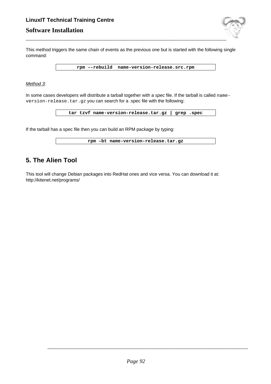# **LinuxIT Technical Training Centre Software Installation**



This method triggers the same chain of events as the previous one but is started with the following single command:

**rpm –-rebuild name-version-release.src.rpm**

### Method 3:

In some cases developers will distribute a tarball together with a spec file. If the tarball is called nameversion-release.tar.gz you can search for a .spec file with the following:

**tar tzvf name-version-release.tar.gz | grep .spec**

If the tarball has a spec file then you can build an RPM package by typing:

| rpm -bt name-version-release.tar.gz |
|-------------------------------------|
|-------------------------------------|

# **5. The Alien Tool**

This tool will change Debian packages into RedHat ones and vice versa. You can download it at: http://kitenet.net/programs/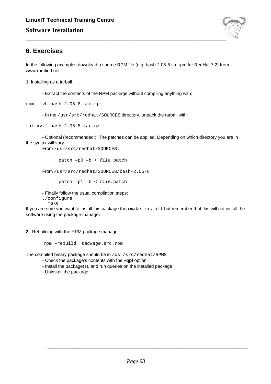

# **6. Exercises**

In the following examples download a source RPM file (e.g. bash-2.05-8.src.rpm for RedHat 7.2) from www.rpmfind.net.

**1.** Installing as a tarball.

- Extract the contents of the RPM package without compiling anything with:

rpm –ivh bash-2.05-8.src.rpm

- In the /usr/src/redhat/SOURCES directory, unpack the tarball with:

tar xvzf bash-2.05-8.tar.gz

- Optional (recommended!): The patches can be applied. Depending on which directory you are in the syntax will vary.

From /usr/src/redhat/SOURCES:

patch –p0 –b < file.patch

From /usr/src/redhat/SOURCES/bash-2.05-8

patch –p1 –b < file.patch

- Finally follow the usual compilation steps:

./configure

make

If you are sure you want to install this package then make install but remember that this will not install the software using the package manager.

**2.** Rebuilding with the RPM package manager.

rpm –rebuild package.src.rpm

The compiled binary package should be in /usr/src/redhat/RPMS

- Check the package's contents with the **–qpl** option
- Install the package(s), and run queries on the installed package
- Uninstall the package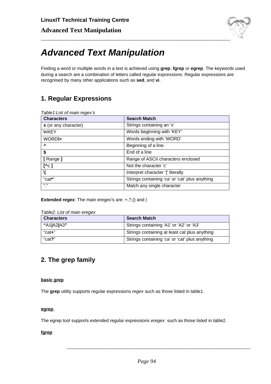

# **Advanced Text Manipulation**

Finding a word or multiple words in a text is achieved using **grep**, **fgrep** or **egrep**. The keywords used during a search are a combination of letters called regular expressions. Regular expressions are recognised by many other applications such as **sed**, and **vi**.

# **1. Regular Expressions**

| <b>Characters</b>    | <b>Search Match</b>                            |
|----------------------|------------------------------------------------|
| x (or any character) | Strings containing an 'x'                      |
| <b>KKEY</b>          | Words beginning with 'KEY'                     |
| <b>WORDIS</b>        | Words ending with 'WORD'                       |
| $\mathbf{v}$         | Beginning of a line                            |
| \$                   | End of a line                                  |
| [Range]              | Range of ASCII characters enclosed             |
| $[\wedge c]$         | Not the character 'c'                          |
| N                    | Interpret character '[' literally              |
| "cat*"               | Strings containing 'ca' or 'cat' plus anything |
| 66 99                | Match any single character                     |

**Extended regex**: The main eregex's are: +,?,() and |

| <b>Characters</b> | <b>Search Match</b>                            |
|-------------------|------------------------------------------------|
| "A1 A2 A3"        | Strings containing 'A1' or 'A2' or 'A3'        |
| "cat+"            | Strings containing at least cat plus anything  |
| "cat?"            | Strings containing 'ca' or 'cat' plus anything |

# **2. The grep family**

### **basic grep**

The **grep** utility supports regular expressions regex such as those listed in table1.

### **egrep**

The egrep tool supports extended regular expressions eregex such as those listed in table2.

### **fgrep**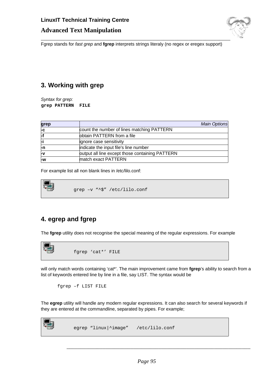

Fgrep stands for fast grep and **fgrep** interprets strings literaly (no regex or eregex support)

# **3. Working with grep**

Syntax for grep: **grep PATTERN FILE**

| grep |                                                 | <b>Main Options</b> |
|------|-------------------------------------------------|---------------------|
| ŀс   | count the number of lines matching PATTERN      |                     |
| ⊦f   | obtain PATTERN from a file                      |                     |
| Ηi   | ignore case sensitivity                         |                     |
| ŀп   | indicate the input file's line number           |                     |
| ⊦v   | output all line except those containing PATTERN |                     |
| l-w  | match exact PATTERN                             |                     |

For example list all non blank lines in /etc/lilo.conf:



# **4. egrep and fgrep**

The **fgrep** utility does not recognise the special meaning of the regular expressions. For example



will only match words containing 'cat\*'. The main improvement came from **fgrep**'s ability to search from a list of keywords entered line by line in a file, say LIST. The syntax would be

fgrep –f LIST FILE

The **egrep** utility will handle any modern regular expressions. It can also search for several keywords if they are entered at the commandline, separated by pipes. For example;



egrep "linux|^image" /etc/lilo.conf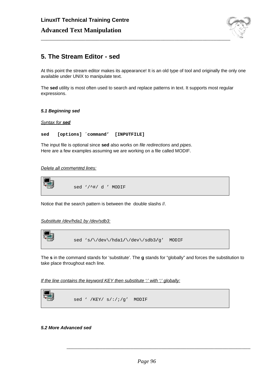

# **5. The Stream Editor - sed**

At this point the stream editor makes its appearance! It is an old type of tool and originally the only one available under UNIX to manipulate text.

The **sed** utility is most often used to search and replace patterns in text. It supports most regular expressions.

### **5.1 Beginning sed**

Syntax for **sed**

**sed [options] ´command' [INPUTFILE]**

The input file is optional since **sed** also works on file redirections and pipes. Here are a few examples assuming we are working on a file called MODIF.

Delete all commented lines:



Notice that the search pattern is between the double slashs //.

Substitute /dev/hda1 by /dev/sdb3:



The **s** in the command stands for 'substitute'. The **g** stands for "globally" and forces the substitution to take place throughout each line.

If the line contains the keyword KEY then substitute  $\cdot$  with  $\cdot$  globally:

### **5.2 More Advanced sed**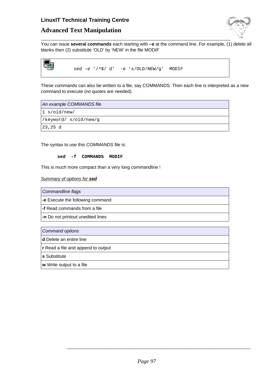## **Advanced Text Manipulation**



You can issue **several commands** each starting with **–e** at the command line. For example, (1) delete all blanks then (2) substitute 'OLD' by 'NEW' in the file MODIF



sed –e '/^\$/ d' -e 's/OLD/NEW/g' MODIF

These commands can also be written to a file, say COMMANDS. Then each line is interpreted as a new command to execute (no quotes are needed).

An example COMMANDS file

1 s/old/new/

/keyword/ s/old/new/g

23,25 d

The syntax to use this COMMANDS file is:

**sed -f COMMANDS MODIF**

This is much more compact than a very long commandline !

Summary of options for **sed**

Commandline flags

**-e** Execute the following command

**-f** Read commands from a file

**-n** Do not printout unedited lines

Command options

**d** Delete an entire line

**r** Read a file and append to output

**s** Substitute

**w** Write output to a file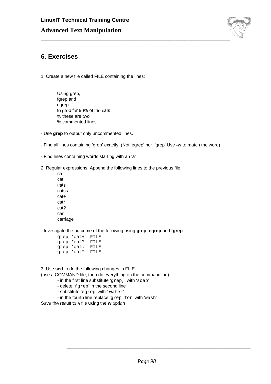

# **6. Exercises**

1. Create a new file called FILE containing the lines:

- Using grep, fgrep and egrep to grep for 99% of the cats % these are two % commented lines
- Use **grep** to output only uncommented lines.
- Find all lines containing 'grep' exactly. (Not 'egrep' nor 'fgrep'.Use **-w** to match the word)
- Find lines containing words starting with an 'a'
- 2. Regular expressions. Append the following lines to the previous file:
	- ca cat cats catss cat+ cat\* cat? car carriage

- Investigate the outcome of the following using **grep**, **egrep** and **fgrep**:

grep 'cat+' FILE grep 'cat?' FILE grep 'cat.' FILE grep 'cat\*' FILE

3. Use **sed** to do the following changes in FILE

(use a COMMAND file, then do everything on the commandline)

- in the first line substitute 'grep,' with 'soap'
- delete 'fgrep' in the second line
- substitute 'egrep' with ' water'
- in the fourth line replace 'grep for' with 'wash'

Save the result to a file using the **w** option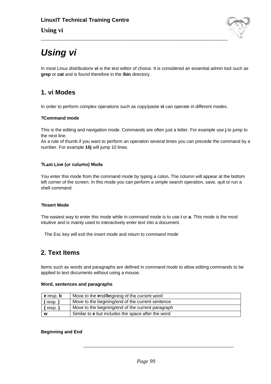## **Using vi**



# **Using vi**

In most Linux distributions **vi** is the text editor of choice. It is considered an essential admin tool such as **grep** or **cat** and is found therefore in the **/bin** directory.

# **1. vi Modes**

In order to perform complex operations such as copy/paste **vi** can operate in different modes.

### **?Command mode**

This is the editing and navigation mode. Commands are often just a letter. For example use **j** to jump to the next line.

As a rule of thumb if you want to perform an operation several times you can precede the command by a number. For example **10j** will jump 10 lines.

### **?Last Line (or column) Mode**

You enter this mode from the command mode by typing a colon**.** The column will appear at the bottom left corner of the screen. In this mode you can perform a simple search operation, save, quit or run a shell command.

### **?Insert Mode**

The easiest way to enter this mode while in command mode is to use **i** or **a**. This mode is the most intuitive and is mainly used to interactively enter text into a document.

The Esc key will exit the insert mode and return to command mode

# **2. Text Items**

Items such as words and paragraphs are defined in command mode to allow editing commands to be applied to text documents without using a mouse.

### **Word, sentences and paragraphs**

| Move to the end/begining of the current word<br>e resp. b |                                                           |  |  |  |
|-----------------------------------------------------------|-----------------------------------------------------------|--|--|--|
| resp.)                                                    | Move to the begining/end of the current sentence          |  |  |  |
| { resp. }                                                 | Move to the begining/end of the current paragraph         |  |  |  |
| w                                                         | Similar to <b>e</b> but includes the space after the word |  |  |  |

### **Beginning and End**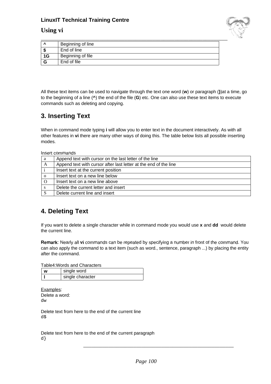### **Using vi**



|    | Beginning of line |
|----|-------------------|
|    | End of line       |
| 1G | Beginning of file |
| G  | End of file       |

All these text items can be used to navigate through the text one word (**w**) or paragraph (**}**)at a time, go to the beginning of a line (**^**) the end of the file (**G**) etc. One can also use these text items to execute commands such as deleting and copying.

# **3. Inserting Text**

When in command mode typing **i** will allow you to enter text in the document interactively. As with all other features in **vi** there are many other ways of doing this. The table below lists all possible inserting modes.

Insert commands

| a        | Append text with cursor on the last letter of the line           |  |  |  |
|----------|------------------------------------------------------------------|--|--|--|
| A        | Append text with cursor after last letter at the end of the line |  |  |  |
|          | Insert text at the current position                              |  |  |  |
| $\Omega$ | Insert text on a new line below                                  |  |  |  |
|          | Insert text on a new line above                                  |  |  |  |
| S        | Delete the current letter and insert                             |  |  |  |
|          | Delete current line and insert                                   |  |  |  |

# **4. Deleting Text**

If you want to delete a single character while in command mode you would use **x** and **dd** would delete the current line.

**Remark**: Nearly all **vi** commands can be repeated by specifying a number in front of the command. You can also apply the command to a text item (such as word., sentence, paragraph ...) by placing the entity after the command.

Table4:Words and Characters

| w | single word      |  |  |  |
|---|------------------|--|--|--|
|   | single character |  |  |  |

Examples: Delete a word: dw

Delete text from here to the end of the current line d\$

Delete text from here to the end of the current paragraph d}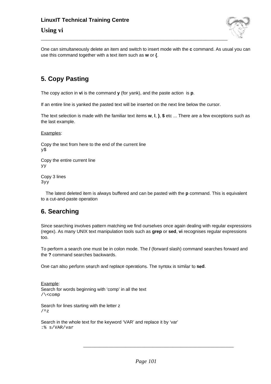## **Using vi**



One can simultaneously delete an item and switch to insert mode with the **c** command. As usual you can use this command together with a text item such as **w** or **{**.

# **5. Copy Pasting**

The copy action in **vi** is the command **y** (for yank), and the paste action is **p**.

If an entire line is yanked the pasted text will be inserted on the next line below the cursor.

The text selection is made with the familiar text items **w**, **l**, **}**, **\$** etc ... There are a few exceptions such as the last example.

Examples:

Copy the text from here to the end of the current line y\$

Copy the entire current line yy

Copy 3 lines 3yy

The latest deleted item is always buffered and can be pasted with the **p** command. This is equivalent to a cut-and-paste operation

# **6. Searching**

Since searching involves pattern matching we find ourselves once again dealing with regular expressions (regex). As many UNIX text manipulation tools such as **grep** or **sed**, **vi** recognises regular expressions too.

To perform a search one must be in colon mode. The **/** (forward slash) command searches forward and the **?** command searches backwards.

One can also perform search and replace operations. The syntax is similar to **sed**.

Example: Search for words beginning with 'comp' in all the text /\<comp

Search for lines starting with the letter z  $/$   $\sim$  z

Search in the whole text for the keyword 'VAR' and replace it by 'var' :% s/VAR/var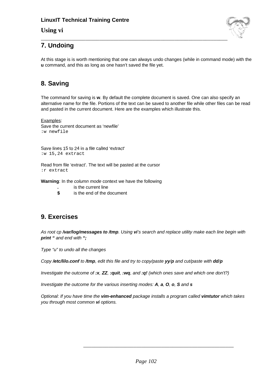## **Using vi**



# **7. Undoing**

At this stage is is worth mentioning that one can always undo changes (while in command mode) with the **u** command, and this as long as one hasn't saved the file yet.

# **8. Saving**

The command for saving is **w**. By default the complete document is saved. One can also specify an alternative name for the file. Portions of the text can be saved to another file while other files can be read and pasted in the current document. Here are the examples which illustrate this.

Examples: Save the current document as 'newfile' :w newfile

Save lines 15 to 24 in a file called 'extract' :w 15,24 extract

Read from file 'extract'. The text will be pasted at the cursor :r extract

**Warning**: In the column mode context we have the following

- **.** is the current line
- **\$** is the end of the document

# **9. Exercises**

As root cp **/var/log/messages to /tmp**. Using **vi**'s search and replace utility make each line begin with **print "** and end with **";**

Type "u" to undo all the changes

Copy **/etc/lilo.conf** to **/tmp**, edit this file and try to copy/paste **yy**/**p** and cut/paste with **dd**/**p**

Investigate the outcome of **:x**, **ZZ**, **:quit**, **:wq**, and **:q!** (which ones save and which one don't?)

Investigate the outcome for the various inserting modes: **A**, **a**, **O**, **o**, **S** and **s**

Optional: If you have time the **vim-enhanced** package installs a program called **vimtutor** which takes you through most common **vi** options.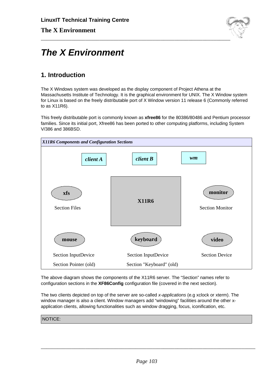

# **The X Environment**

# **1. Introduction**

The X Windows system was developed as the display component of Project Athena at the Massachusetts Institute of Technology. It is the graphical environment for UNIX. The X Window system for Linux is based on the freely distributable port of X Window version 11 release 6 (Commonly referred to as X11R6).

This freely distributable port is commonly known as **xfree86** for the 80386/80486 and Pentium processor families. Since its initial port, Xfree86 has been ported to other computing platforms, including System V/386 and 386BSD.



The above diagram shows the components of the X11R6 server. The "Section" names refer to configuration sections in the **XF86Config** configuration file (covered in the next section).

The two clients depicted on top of the server are so-called x-applications (e.g xclock or xterm). The window manager is also a client. Window managers add "windowing" facilities around the other xapplication clients, allowing functionalities such as window dragging, focus, iconification, etc.

NOTICE: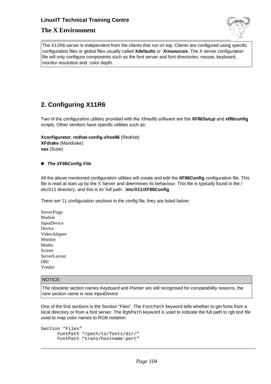## **The X Environment**



The X11R6 server is independent from the clients that run on top. Clients are configured using specific configuration files or global files usually called **Xdefaults** or **Xresources**. The X server configuration file will only configure components such as the font server and font directories, mouse, keyboard, monitor resolution and color depth.

# **2. Configuring X11R6**

Two of the configuration utilities provided with the Xfree86 software are the **XF86Setup** and **xf86config** scripts. Other vendors have specific utilities such as:

**Xconfigurator**, **redhat-config-xfree86** (RedHat)

**XFdrake** (Mandrake) **sax** (Suse)

### ● **The XF86Config File**

All the above mentioned configuration utilities will create and edit the **XF86Config** configuration file. This file is read at start up by the X Server and determines its behaviour. This file is typically found in the / etc/X11 directory, and this is its' full path: **/etc/X11/XF86Config**.

There are 11 configuration sections in the config file, they are listed below:

**ServerFlags** Module InputDevice Device VideoAdapter Monitor Modes Screen ServerLayout DRI Vendor

### NOTICE:

The obsolete section names Keyboard and Pointer are still recognised for compatability reasons, the new section name is now InputDevice

One of the first sections is the Section "Files". The FontPath keyword tells whether to get fonts from a local directory or from a font server. The  $Rq$  abpath keyword is used to indicate the full path to rab text file used to map color names to RGB notation:

```
Section "Files"
      FontPath "/path/to/fonts/dir/"
      FontPath "trans/hostname:port"
```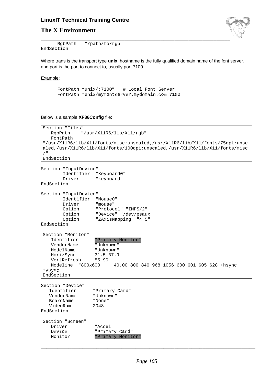## **The X Environment**



RgbPath "/path/to/rgb" EndSection

Where trans is the transport type **unix**, hostname is the fully qualified domain name of the font server, and port is the port to connect to, usually port 7100.

### Example:

```
FontPath "unix/:7100" # Local Font Server
FontPath "unix/myfontserver.mydomain.com:7100"
```
Below is a sample **XF86Config** file:

```
Section "Files"
   RgbPath "/usr/X11R6/lib/X11/rgb"
   FontPath
"/usr/X11R6/lib/X11/fonts/misc:unscaled,/usr/X11R6/lib/X11/fonts/75dpi:unsc
aled,/usr/X11R6/lib/X11/fonts/100dpi:unscaled,/usr/X11R6/lib/X11/fonts/misc
/ ""
EndSection
```

```
Section "InputDevice"
       Identifier "Keyboard0"
       Driver "keyboard"
EndSection
```

```
Section "InputDevice"
          Identifier "Mouse0"
          Driver "mouse"
          Option "Protocol" "IMPS/2"<br>Option "Device" "/dev/psau
          Option "Device" "/dev/psaux"<br>Option "ZAxisMapping" "4 5"
                          "ZAxisMapping" "4 5"
```

```
EndSection
```

| Section "Monitor"     |                   |  |  |  |  |                                               |  |
|-----------------------|-------------------|--|--|--|--|-----------------------------------------------|--|
| Identifier            | "Primary Monitor" |  |  |  |  |                                               |  |
| VendorName            | "Unknown"         |  |  |  |  |                                               |  |
| ModelName             | "Unknown"         |  |  |  |  |                                               |  |
| HorizSync             | $31.5 - 37.9$     |  |  |  |  |                                               |  |
| VertRefresh           | $55 - 90$         |  |  |  |  |                                               |  |
| Modeline<br>"800x600" |                   |  |  |  |  | 40.00 800 840 968 1056 600 601 605 628 +hsync |  |
| +vsync                |                   |  |  |  |  |                                               |  |
| EndSection            |                   |  |  |  |  |                                               |  |

Section "Device" Identifier "Primary Card" VendorName "Unknown" BoardName "None" VideoRam 2048 EndSection

| Section "Screen" |                   |
|------------------|-------------------|
| Driver           | "Accel"           |
| Device           | "Primary Card"    |
| Monitor          | "Primary Monitor" |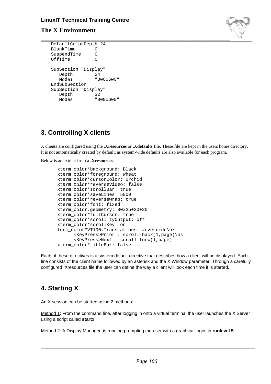## **The X Environment**



| DefaultColorDepth 24 |           |
|----------------------|-----------|
| <b>BlankTime</b>     |           |
| SuspendTime          | O         |
| OffTime              |           |
|                      |           |
| SubSection "Display" |           |
| Depth                | 2.4       |
| Modes                | "800x600" |
| EndSubSection        |           |
| SubSection "Display" |           |
| Depth                | 32        |
| Modes                | "800x600  |

# **3. Controlling X clients**

X clients are configured using the **.Xresources** or **.Xdefaults** file. These file are kept in the users home directory. It is not automatically created by default, as system-wide defaults are also available for each program.

Below is an extract from a **.Xresources**:

```
xterm_color*background: Black
xterm_color*foreground: Wheat
xterm_color*cursorColor: Orchid
xterm_color*reverseVideo: false
xterm_color*scrollBar: true
xterm_color*saveLines: 5000
xterm_color*reverseWrap: true
xterm_color*font: fixed
xterm_color.geometry: 80x25+20+20
xterm_color*fullCursor: true
xterm_color*scrollTtyOutput: off
xterm_color*scrollKey: on
term_color*VT100.Translations: #override\n\
      <KeyPress>Prior : scroll-back(1,page)\n\
      <KeyPress>Next : scroll-forw(1,page)
xterm_color*titleBar: false
```
Each of these directives is a system default directive that describes how a client will be displayed. Each line consists of the client name followed by an asterisk and the X Window parameter. Through a carefully configured .Xresources file the user can define the way a client will look each time it is started.

# **4. Starting X**

An X session can be started using 2 methods:

Method 1: From the command line, after logging in onto a virtual terminal the user launches the X Server using a script called **startx**

Method 2: A Display Manager is running prompting the user with a graphical login, in **runlevel 5**.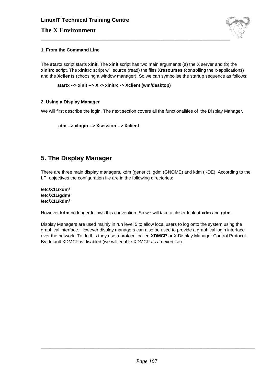# **LinuxIT Technical Training Centre The X Environment**



### **1. From the Command Line**

The **startx** script starts **xinit**. The **xinit** script has two main arguments (a) the X server and (b) the **xinitrc** script. The **xinitrc** script will source (read) the files **Xresourses** (controlling the x-applications) and the **Xclients** (choosing a window manager). So we can symbolise the startup sequence as follows:

**startx --> xinit --> X -> xinitrc -> Xclient (wm/desktop)**

### **2. Using a Display Manager**

We will first describe the login. The next section covers all the functionalities of the Display Manager.

```
xdm --> xlogin --> Xsession --> Xclient
```
# **5. The Display Manager**

There are three main display managers, xdm (generic), gdm (GNOME) and kdm (KDE). According to the LPI objectives the configuration file are in the following directories:

**/etc/X11/xdm/ /etc/X11/gdm/ /etc/X11/kdm/**

However **kdm** no longer follows this convention. So we will take a closer look at **xdm** and **gdm**.

Display Managers are used mainly in run level 5 to allow local users to log onto the system using the graphical interface. However display managers can also be used to provide a graphical login interface over the network. To do this they use a protocol called **XDMCP** or X Display Manager Control Protocol. By default XDMCP is disabled (we will enable XDMCP as an exercise).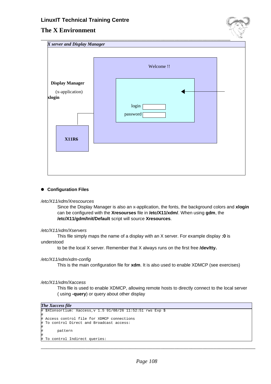## **The X Environment**

|                           | Welcome !! |          |  |  |  |
|---------------------------|------------|----------|--|--|--|
| <b>Display Manager</b>    |            |          |  |  |  |
| (x-application)<br>xlogin |            |          |  |  |  |
|                           |            | login    |  |  |  |
|                           |            | password |  |  |  |
|                           |            |          |  |  |  |
| <b>X11R6</b>              |            |          |  |  |  |
|                           |            |          |  |  |  |

### ● **Configuration Files**

### /etc/X11/xdm/Xrescources

Since the Display Manager is also an x-application, the fonts, the background colors and **xlogin** can be configured with the **Xresourses** file in **/etc/X11/xdm/**. When using **gdm**, the **/etc/X11/gdm/Init/Default** script will source **Xresources**.

### /etc/X11/xdm/Xservers

This file simply maps the name of a display with an X server. For example display **:0** is understood

to be the local X server. Remember that X always runs on the first free **/dev/tty.**

### /etc/X11/xdm/xdm-config

This is the main configuration file for **xdm**. It is also used to enable XDMCP (see exercises)

#### /etc/X11/xdm/Xaccess

This file is used to enable XDMCP, allowing remote hosts to directly connect to the local server ( using **-query**) or query about other display

```
The Xaccess file
```
#

#

#

```
# $XConsortium: Xaccess,v 1.5 91/08/26 11:52:51 rws Exp $
 Access control file for XDMCP connections
 To control Direct and Broadcast access:
      pattern
```
To control Indirect queries: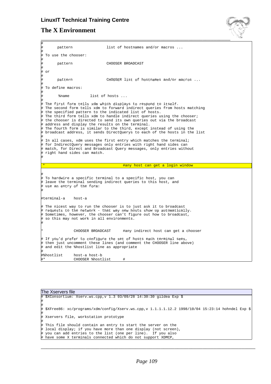# **LinuxIT Technical Training Centre**

# **The X Environment**



|             |                                                                                                                                                                                                                                                                                                                                                                                                                                                                                                                                                                                                                                                                                                                                                                                                                                                 |                                    |                                          | $-1.6$ |  |
|-------------|-------------------------------------------------------------------------------------------------------------------------------------------------------------------------------------------------------------------------------------------------------------------------------------------------------------------------------------------------------------------------------------------------------------------------------------------------------------------------------------------------------------------------------------------------------------------------------------------------------------------------------------------------------------------------------------------------------------------------------------------------------------------------------------------------------------------------------------------------|------------------------------------|------------------------------------------|--------|--|
| #<br>#      | pattern                                                                                                                                                                                                                                                                                                                                                                                                                                                                                                                                                                                                                                                                                                                                                                                                                                         |                                    | list of hostnames and/or macros $\ldots$ |        |  |
| #           | To use the chooser:                                                                                                                                                                                                                                                                                                                                                                                                                                                                                                                                                                                                                                                                                                                                                                                                                             |                                    |                                          |        |  |
| #<br>#<br># | pattern                                                                                                                                                                                                                                                                                                                                                                                                                                                                                                                                                                                                                                                                                                                                                                                                                                         |                                    | CHOOSER BROADCAST                        |        |  |
| #<br>#      | or                                                                                                                                                                                                                                                                                                                                                                                                                                                                                                                                                                                                                                                                                                                                                                                                                                              |                                    |                                          |        |  |
| #           | pattern                                                                                                                                                                                                                                                                                                                                                                                                                                                                                                                                                                                                                                                                                                                                                                                                                                         |                                    | CHOOSER list of hostnames and/or macros  |        |  |
| #           | To define macros:                                                                                                                                                                                                                                                                                                                                                                                                                                                                                                                                                                                                                                                                                                                                                                                                                               |                                    |                                          |        |  |
| #<br>#      | <i><b>%name</b></i>                                                                                                                                                                                                                                                                                                                                                                                                                                                                                                                                                                                                                                                                                                                                                                                                                             |                                    | list of hosts                            |        |  |
| #           | # The first form tells xdm which displays to respond to itself.<br># The second form tells xdm to forward indirect queries from hosts matching<br># the specified pattern to the indicated list of hosts.<br>$\#$ The third form tells xdm to handle indirect queries using the chooser;<br># the chooser is directed to send its own queries out via the broadcast<br># address and display the results on the terminal.<br># The fourth form is similar to the third, except instead of using the<br># broadcast address, it sends DirectQuerys to each of the hosts in the list<br>$\#$ In all cases, xdm uses the first entry which matches the terminal;<br># for IndirectQuery messages only entries with right hand sides can<br># match, for Direct and Broadcast Query messages, only entries without<br># right hand sides can match. |                                    |                                          |        |  |
|             |                                                                                                                                                                                                                                                                                                                                                                                                                                                                                                                                                                                                                                                                                                                                                                                                                                                 |                                    | <u>#any host can get a login window</u>  |        |  |
|             | # To hardwire a specific terminal to a specific host, you can<br># leave the terminal sending indirect queries to this host, and<br># use an entry of the form:                                                                                                                                                                                                                                                                                                                                                                                                                                                                                                                                                                                                                                                                                 |                                    |                                          |        |  |
|             | #terminal-a                                                                                                                                                                                                                                                                                                                                                                                                                                                                                                                                                                                                                                                                                                                                                                                                                                     | host-a                             |                                          |        |  |
| #           | # The nicest way to run the chooser is to just ask it to broadcast<br># requests to the network - that way new hosts show up automatically.<br># Sometimes, however, the chooser can't figure out how to broadcast,<br># so this may not work in all environments.                                                                                                                                                                                                                                                                                                                                                                                                                                                                                                                                                                              |                                    |                                          |        |  |
| $\star$     |                                                                                                                                                                                                                                                                                                                                                                                                                                                                                                                                                                                                                                                                                                                                                                                                                                                 | CHOOSER BROADCAST                  | #any indirect host can get a chooser     |        |  |
|             | # If you'd prefer to configure the set of hosts each terminal sees,<br># then just uncomment these lines (and comment the CHOOSER line above)<br># and edit the %hostlist line as appropriate                                                                                                                                                                                                                                                                                                                                                                                                                                                                                                                                                                                                                                                   |                                    |                                          |        |  |
| #*          | #%hostlist                                                                                                                                                                                                                                                                                                                                                                                                                                                                                                                                                                                                                                                                                                                                                                                                                                      | host-a host-b<br>CHOOSER %hostlist | #                                        |        |  |

| The Xservers file |                                                                                                    |  |  |  |  |  |
|-------------------|----------------------------------------------------------------------------------------------------|--|--|--|--|--|
|                   | # \$XConsortium: Xserv.ws.cpp, v 1.3 93/09/28 14:30:30 gildea Exp \$                               |  |  |  |  |  |
| #                 |                                                                                                    |  |  |  |  |  |
| #                 | # \$XFree86: xc/programs/xdm/config/Xserv.ws.cpp,v 1.1.1.1.12.2 1998/10/04 15:23:14 hohndel Exp \$ |  |  |  |  |  |
| #                 |                                                                                                    |  |  |  |  |  |
|                   | # Xservers file, workstation prototype                                                             |  |  |  |  |  |
| #                 |                                                                                                    |  |  |  |  |  |
|                   | # This file should contain an entry to start the server on the                                     |  |  |  |  |  |
|                   | # local display; if you have more than one display (not screen),                                   |  |  |  |  |  |
|                   | # you can add entries to the list (one per line). If you also                                      |  |  |  |  |  |
|                   | # have some X terminals connected which do not support XDMCP,                                      |  |  |  |  |  |
|                   |                                                                                                    |  |  |  |  |  |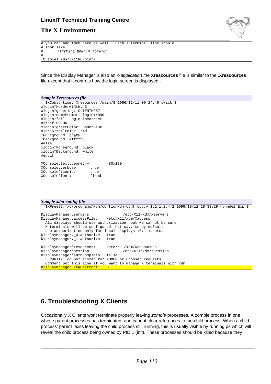### **LinuxIT Technical Training Centre**



### **The X Environment**

# you can add them here as well. Each X terminal line should look like: XTerminalName:0 foreign # :0 local /usr/X11R6/bin/X

Since the Display Manager is also an x-application the **Xrescources** file is similar to the **.Xrescources** file except that it controls how the login screen is displayed .

| <b>Sample Xrescources file</b> |                                                                  |  |  |  |  |
|--------------------------------|------------------------------------------------------------------|--|--|--|--|
|                                | ! \$XConsortium: Xresources /main/8 1996/11/11 09:24:46 swick \$ |  |  |  |  |
| xlogin*borderWidth: 3          |                                                                  |  |  |  |  |
| xlogin*greeting: CLIENTHOST    |                                                                  |  |  |  |  |
| xlogin*namePrompt: login:\040  |                                                                  |  |  |  |  |
| xlogin*fail: Login incorrect   |                                                                  |  |  |  |  |
| #ifdef COLOR                   |                                                                  |  |  |  |  |
| xlogin*greetColor: CadetBlue   |                                                                  |  |  |  |  |
| xlogin*failColor: red          |                                                                  |  |  |  |  |
| *Foreground: black             |                                                                  |  |  |  |  |
| *Background: #fffff0           |                                                                  |  |  |  |  |
| #else                          |                                                                  |  |  |  |  |
| xlogin*Foreground: black       |                                                                  |  |  |  |  |
| xlogin*Background: white       |                                                                  |  |  |  |  |
| #endif                         |                                                                  |  |  |  |  |
| XConsole.text.geometry:        | 480x130                                                          |  |  |  |  |
| XConsole.verbose:<br>true      |                                                                  |  |  |  |  |
| XConsole*iconic:<br>true       |                                                                  |  |  |  |  |
| XConsole*font:<br>fixed        |                                                                  |  |  |  |  |
|                                |                                                                  |  |  |  |  |
|                                |                                                                  |  |  |  |  |

```
Sample xdm-config file
 ! $XFree86: xc/programs/xdm/config/xdm-conf.cpp,v 1.1.1.2.4.2 1999/10/12 18:33:29 hohndel Exp $
!
DisplayManager.servers: /etc/X11/xdm/Xservers
DisplayManager.accessFile:
! All displays should use authorization, but we cannot be sure
! X terminals will be configured that way, so by default
! use authorization only for local displays :0, :1, etc.
DisplayManager._0.authorize: true
DisplayManager._1.authorize: true
!
DisplayManager*resources: /etc/X11/xdm/Xresources
DisplayManager*session:
DisplayManager*authComplain: false
! SECURITY: do not listen for XDMCP or Chooser requests
! Comment out this line if you want to manage X terminals with xdm
DisplayManager.requestPort: 0
```
## **6. Troubleshooting X Clients**

Occasionally X Clients wont terminate properly leaving zombie processes. A zombie process in one whose parent processes has terminated, and cannot clear references to the child process. When a child process' parent exits leaving the child process still running, this is usually visible by running ps which will reveal the child process being owned by PID 1 (init). These processes should be killed because they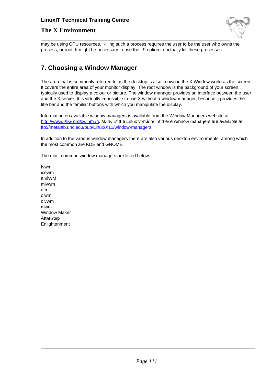### **LinuxIT Technical Training Centre**

### **The X Environment**



may be using CPU resources. Killing such a process requires the user to be the user who owns the process, or root. It might be necessary to use the –9 option to actually kill these processes.

## **7. Choosing a Window Manager**

The area that is commonly referred to as the desktop is also known in the X Window world as the screen. It covers the entire area of your monitor display. The root window is the background of your screen, typically used to display a colour or picture. The window manager provides an interface between the user and the X server. It is virtually impossible to use X without a window manager, because it provides the title bar and the familiar buttons with which you manipulate the display.

Information on available window managers is available from the Window Managers website at http://www.PliG.org/xwinman. Many of the Linux versions of these window managers are available at ftp://metalab.unc.edu/pub/Linux/X11/window-managers.

In addition to the various window managers there are also various desktop environments, among which the most common are KDE and GNOME.

The most common window managers are listed below:

fvwm icewm amiWM mlvwm dfm olwm olvwm mwm Window Maker **AfterStep** Enlightenment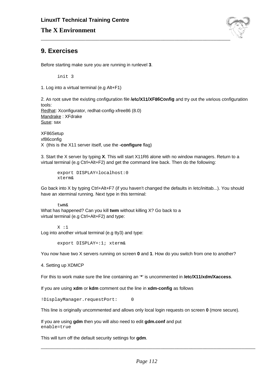

### **9. Exercises**

Before starting make sure you are running in runlevel **3**.

init 3

1. Log into a virtual terminal (e.g Alt+F1)

2. As root save the existing configuration file **/etc/X11/XF86Config** and try out the various configuration tools: Redhat: Xconfigurator, redhat-config-xfree86 (8.0) Mandrake : XFdrake Suse: sax

XF86Setup xf86config X (this is the X11 server itself, use the **-configure** flag)

3. Start the X server by typing **X**. This will start X11R6 alone with no window managers. Return to a virtual terminal (e.g Ctrl+Alt+F2) and get the command line back. Then do the following:

```
export DISPLAY=localhost:0
xterm&
```
Go back into X by typing Ctrl+Alt+F7 (if you haven't changed the defaults in /etc/inittab...). You should have an xterminal running. Next type in this terminal:

twm&

What has happened? Can you kill **twm** without killing X? Go back to a virtual terminal (e.g Ctrl+Alt+F2) and type:

X :1 Log into another virtual terminal (e.g tty3) and type:

export DISPLAY=:1; xterm&

You now have two X servers running on screen **0** and **1**. How do you switch from one to another?

4. Setting up XDMCP

For this to work make sure the line containing an '**\***' is uncommented in **/etc/X11/xdm/Xaccess**.

If you are using **xdm** or **kdm** comment out the line in **xdm-config** as follows

!DisplayManager.requestPort: 0

This line is originally uncommented and allows only local login requests on screen **0** (more secure).

If you are using **gdm** then you will also need to edit **gdm.conf** and put enable=true

This will turn off the default security settings for **gdm**.